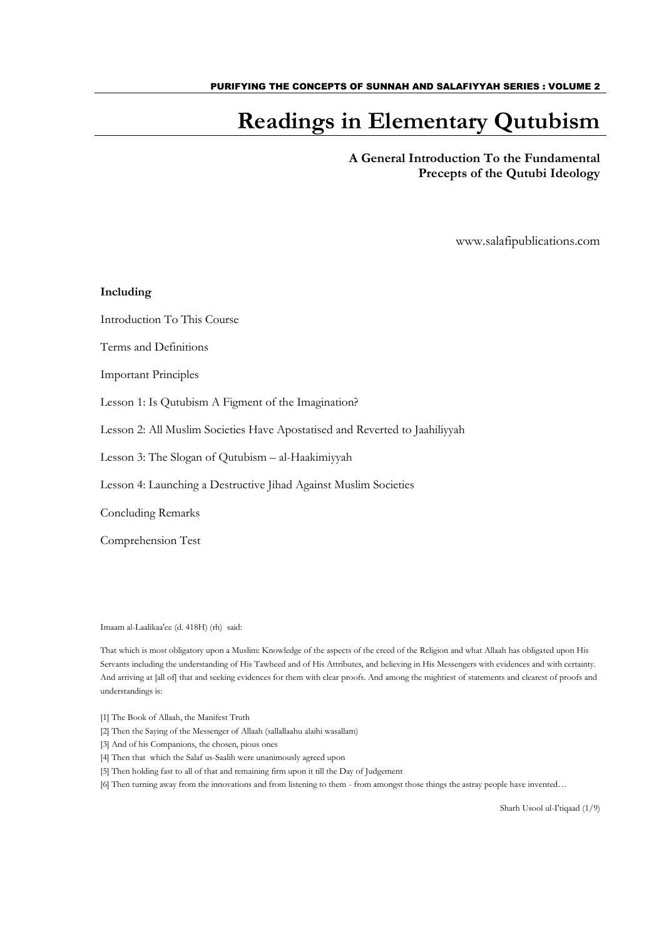# **Readings in Elementary Qutubism**

**A General Introduction To the Fundamental Precepts of the Qutubi Ideology** 

www.salafipublications.com

### **Including**

Introduction To This Course

Terms and Definitions

Important Principles

Lesson 1: Is Qutubism A Figment of the Imagination?

Lesson 2: All Muslim Societies Have Apostatised and Reverted to Jaahiliyyah

Lesson 3: The Slogan of Qutubism – al-Haakimiyyah

Lesson 4: Launching a Destructive Jihad Against Muslim Societies

Concluding Remarks

Comprehension Test

Imaam al-Laalikaa'ee (d. 418H) (rh) said:

That which is most obligatory upon a Muslim: Knowledge of the aspects of the creed of the Religion and what Allaah has obligated upon His Servants including the understanding of His Tawheed and of His Attributes, and believing in His Messengers with evidences and with certainty. And arriving at [all of] that and seeking evidences for them with clear proofs. And among the mightiest of statements and clearest of proofs and understandings is:

- [2] Then the Saying of the Messenger of Allaah (sallallaahu alaihi wasallam)
- [3] And of his Companions, the chosen, pious ones
- [4] Then that which the Salaf us-Saalih were unanimously agreed upon
- [5] Then holding fast to all of that and remaining firm upon it till the Day of Judgement
- [6] Then turning away from the innovations and from listening to them from amongst those things the astray people have invented…

Sharh Usool ul-I'tiqaad (1/9)

<sup>[1]</sup> The Book of Allaah, the Manifest Truth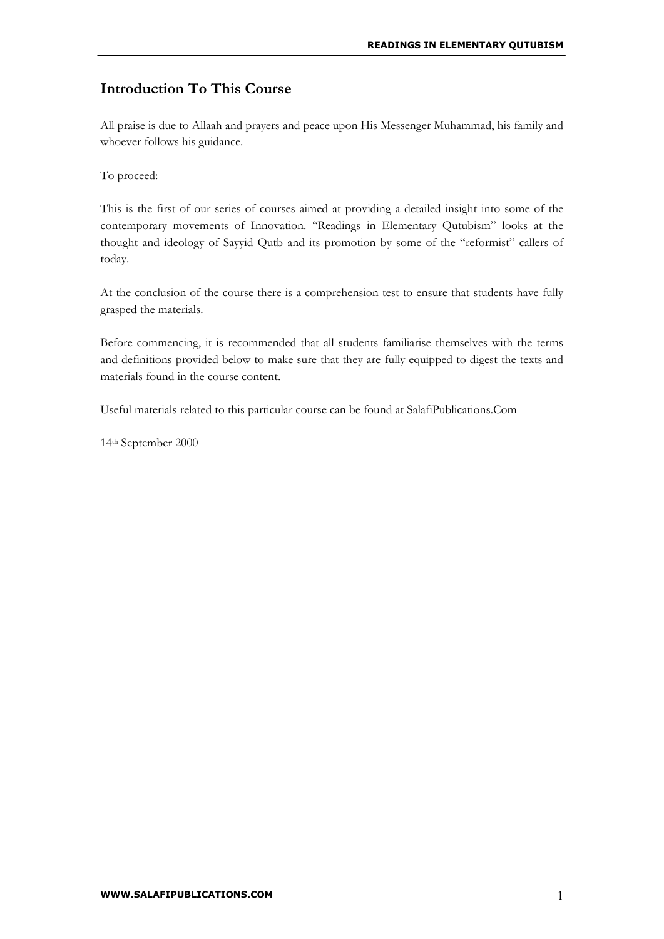### **Introduction To This Course**

All praise is due to Allaah and prayers and peace upon His Messenger Muhammad, his family and whoever follows his guidance.

To proceed:

This is the first of our series of courses aimed at providing a detailed insight into some of the contemporary movements of Innovation. "Readings in Elementary Qutubism" looks at the thought and ideology of Sayyid Qutb and its promotion by some of the "reformist" callers of today.

At the conclusion of the course there is a comprehension test to ensure that students have fully grasped the materials.

Before commencing, it is recommended that all students familiarise themselves with the terms and definitions provided below to make sure that they are fully equipped to digest the texts and materials found in the course content.

Useful materials related to this particular course can be found at SalafiPublications.Com

14th September 2000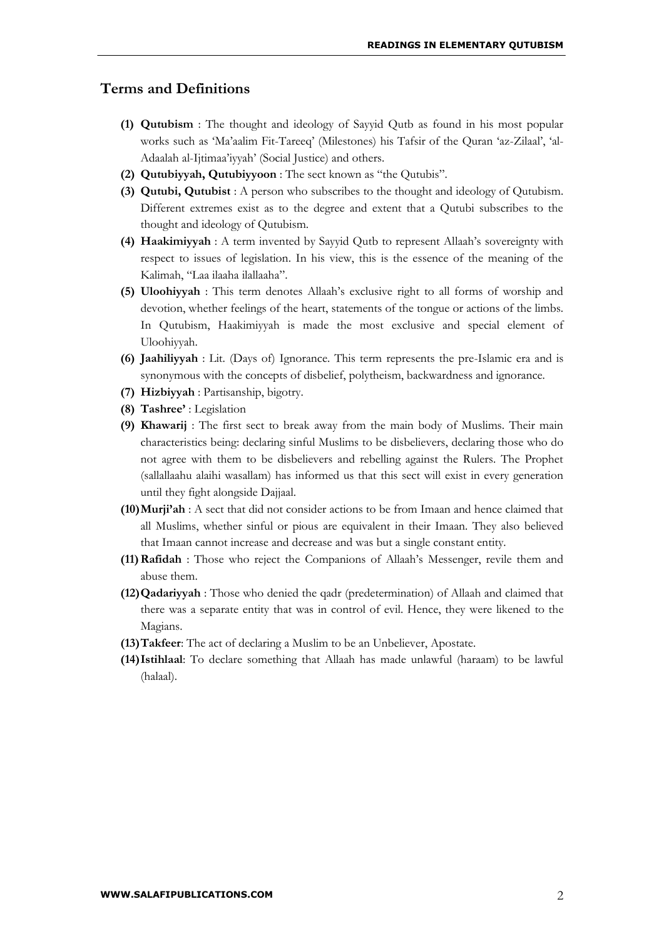### **Terms and Definitions**

- **(1) Qutubism** : The thought and ideology of Sayyid Qutb as found in his most popular works such as 'Ma'aalim Fit-Tareeq' (Milestones) his Tafsir of the Quran 'az-Zilaal', 'al-Adaalah al-Ijtimaa'iyyah' (Social Justice) and others.
- **(2) Qutubiyyah, Qutubiyyoon** : The sect known as "the Qutubis".
- **(3) Qutubi, Qutubist** : A person who subscribes to the thought and ideology of Qutubism. Different extremes exist as to the degree and extent that a Qutubi subscribes to the thought and ideology of Qutubism.
- **(4) Haakimiyyah** : A term invented by Sayyid Qutb to represent Allaah's sovereignty with respect to issues of legislation. In his view, this is the essence of the meaning of the Kalimah, "Laa ilaaha ilallaaha".
- **(5) Uloohiyyah** : This term denotes Allaah's exclusive right to all forms of worship and devotion, whether feelings of the heart, statements of the tongue or actions of the limbs. In Qutubism, Haakimiyyah is made the most exclusive and special element of Uloohiyyah.
- **(6) Jaahiliyyah** : Lit. (Days of) Ignorance. This term represents the pre-Islamic era and is synonymous with the concepts of disbelief, polytheism, backwardness and ignorance.
- **(7) Hizbiyyah** : Partisanship, bigotry.
- **(8) Tashree'** : Legislation
- **(9) Khawarij** : The first sect to break away from the main body of Muslims. Their main characteristics being: declaring sinful Muslims to be disbelievers, declaring those who do not agree with them to be disbelievers and rebelling against the Rulers. The Prophet (sallallaahu alaihi wasallam) has informed us that this sect will exist in every generation until they fight alongside Dajjaal.
- **(10)Murji'ah** : A sect that did not consider actions to be from Imaan and hence claimed that all Muslims, whether sinful or pious are equivalent in their Imaan. They also believed that Imaan cannot increase and decrease and was but a single constant entity.
- **(11)Rafidah** : Those who reject the Companions of Allaah's Messenger, revile them and abuse them.
- **(12)Qadariyyah** : Those who denied the qadr (predetermination) of Allaah and claimed that there was a separate entity that was in control of evil. Hence, they were likened to the Magians.
- **(13)Takfeer**: The act of declaring a Muslim to be an Unbeliever, Apostate.
- **(14)Istihlaal**: To declare something that Allaah has made unlawful (haraam) to be lawful (halaal).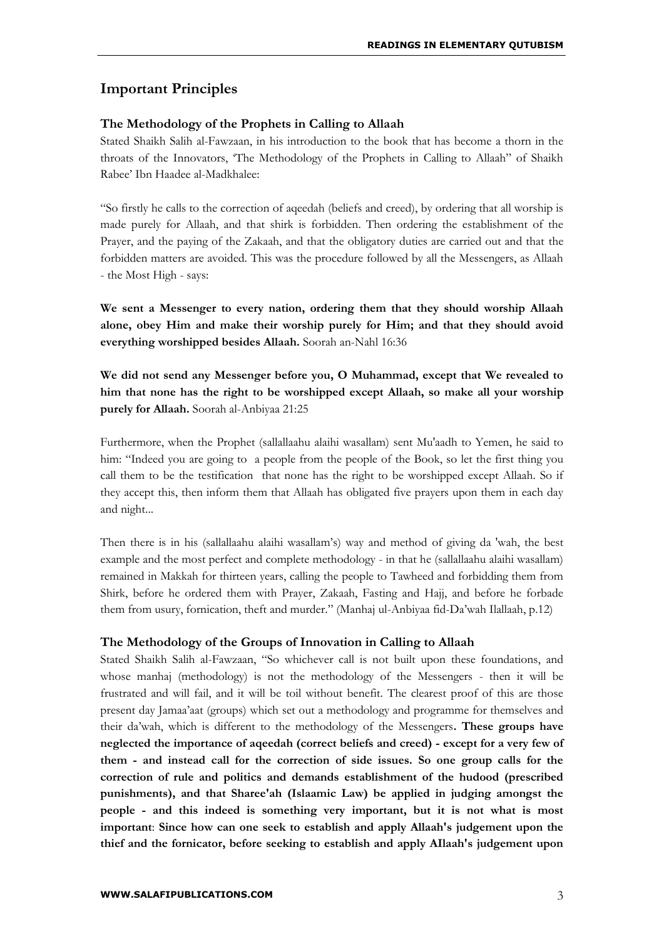### **Important Principles**

### **The Methodology of the Prophets in Calling to Allaah**

Stated Shaikh Salih al-Fawzaan, in his introduction to the book that has become a thorn in the throats of the Innovators, 'The Methodology of the Prophets in Calling to Allaah" of Shaikh Rabee' Ibn Haadee al-Madkhalee:

"So firstly he calls to the correction of aqeedah (beliefs and creed), by ordering that all worship is made purely for Allaah, and that shirk is forbidden. Then ordering the establishment of the Prayer, and the paying of the Zakaah, and that the obligatory duties are carried out and that the forbidden matters are avoided. This was the procedure followed by all the Messengers, as Allaah - the Most High - says:

**We sent a Messenger to every nation, ordering them that they should worship Allaah alone, obey Him and make their worship purely for Him; and that they should avoid everything worshipped besides Allaah.** Soorah an-Nahl 16:36

**We did not send any Messenger before you, O Muhammad, except that We revealed to him that none has the right to be worshipped except Allaah, so make all your worship purely for Allaah.** Soorah al-Anbiyaa 21:25

Furthermore, when the Prophet (sallallaahu alaihi wasallam) sent Mu'aadh to Yemen, he said to him: "Indeed you are going to a people from the people of the Book, so let the first thing you call them to be the testification that none has the right to be worshipped except Allaah. So if they accept this, then inform them that Allaah has obligated five prayers upon them in each day and night...

Then there is in his (sallallaahu alaihi wasallam's) way and method of giving da 'wah, the best example and the most perfect and complete methodology - in that he (sallallaahu alaihi wasallam) remained in Makkah for thirteen years, calling the people to Tawheed and forbidding them from Shirk, before he ordered them with Prayer, Zakaah, Fasting and Hajj, and before he forbade them from usury, fornication, theft and murder." (Manhaj ul-Anbiyaa fid-Da'wah Ilallaah, p.12)

### **The Methodology of the Groups of Innovation in Calling to Allaah**

Stated Shaikh Salih al-Fawzaan, "So whichever call is not built upon these foundations, and whose manhaj (methodology) is not the methodology of the Messengers - then it will be frustrated and will fail, and it will be toil without benefit. The clearest proof of this are those present day Jamaa'aat (groups) which set out a methodology and programme for themselves and their da'wah, which is different to the methodology of the Messengers**. These groups have neglected the importance of aqeedah (correct beliefs and creed) - except for a very few of them - and instead call for the correction of side issues. So one group calls for the correction of rule and politics and demands establishment of the hudood (prescribed punishments), and that Sharee'ah (Islaamic Law) be applied in judging amongst the people - and this indeed is something very important, but it is not what is most important**: **Since how can one seek to establish and apply Allaah's judgement upon the thief and the fornicator, before seeking to establish and apply AIlaah's judgement upon**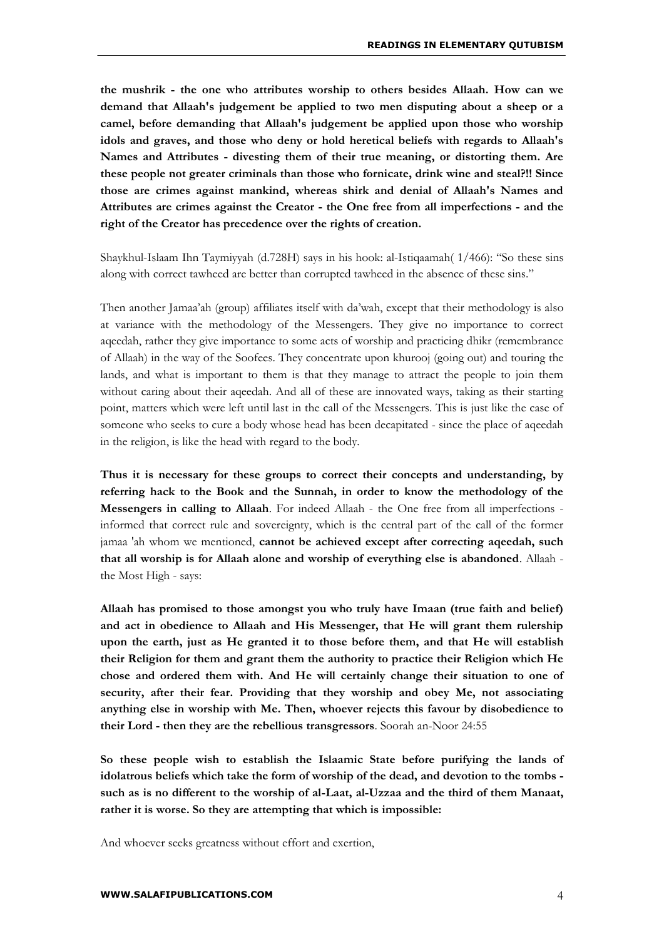**the mushrik - the one who attributes worship to others besides Allaah. How can we demand that Allaah's judgement be applied to two men disputing about a sheep or a camel, before demanding that Allaah's judgement be applied upon those who worship idols and graves, and those who deny or hold heretical beliefs with regards to Allaah's Names and Attributes - divesting them of their true meaning, or distorting them. Are these people not greater criminals than those who fornicate, drink wine and steal?!! Since those are crimes against mankind, whereas shirk and denial of Allaah's Names and Attributes are crimes against the Creator - the One free from all imperfections - and the right of the Creator has precedence over the rights of creation.**

Shaykhul-Islaam Ihn Taymiyyah (d.728H) says in his hook: al-Istiqaamah( 1/466): "So these sins along with correct tawheed are better than corrupted tawheed in the absence of these sins."

Then another Jamaa'ah (group) affiliates itself with da'wah, except that their methodology is also at variance with the methodology of the Messengers. They give no importance to correct aqeedah, rather they give importance to some acts of worship and practicing dhikr (remembrance of Allaah) in the way of the Soofees. They concentrate upon khurooj (going out) and touring the lands, and what is important to them is that they manage to attract the people to join them without caring about their aqeedah. And all of these are innovated ways, taking as their starting point, matters which were left until last in the call of the Messengers. This is just like the case of someone who seeks to cure a body whose head has been decapitated - since the place of aqeedah in the religion, is like the head with regard to the body.

**Thus it is necessary for these groups to correct their concepts and understanding, by referring hack to the Book and the Sunnah, in order to know the methodology of the Messengers in calling to Allaah**. For indeed Allaah - the One free from all imperfections informed that correct rule and sovereignty, which is the central part of the call of the former jamaa 'ah whom we mentioned, **cannot be achieved except after correcting aqeedah, such that all worship is for Allaah alone and worship of everything else is abandoned**. Allaah the Most High - says:

**Allaah has promised to those amongst you who truly have Imaan (true faith and belief) and act in obedience to Allaah and His Messenger, that He will grant them rulership upon the earth, just as He granted it to those before them, and that He will establish their Religion for them and grant them the authority to practice their Religion which He chose and ordered them with. And He will certainly change their situation to one of security, after their fear. Providing that they worship and obey Me, not associating anything else in worship with Me. Then, whoever rejects this favour by disobedience to their Lord - then they are the rebellious transgressors**. Soorah an-Noor 24:55

**So these people wish to establish the Islaamic State before purifying the lands of idolatrous beliefs which take the form of worship of the dead, and devotion to the tombs such as is no different to the worship of al-Laat, al-Uzzaa and the third of them Manaat, rather it is worse. So they are attempting that which is impossible:**

And whoever seeks greatness without effort and exertion,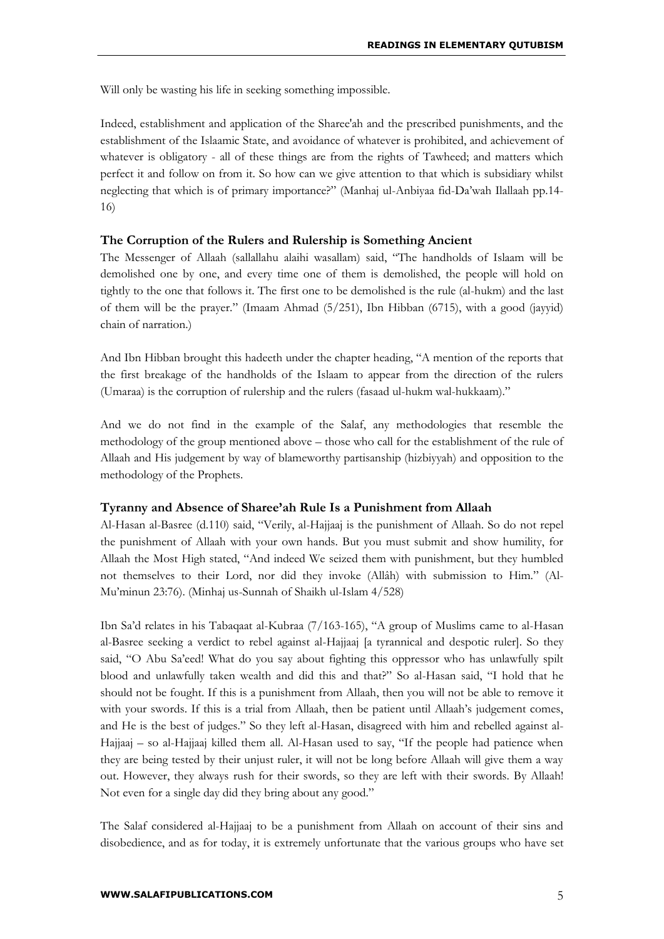Will only be wasting his life in seeking something impossible.

Indeed, establishment and application of the Sharee'ah and the prescribed punishments, and the establishment of the Islaamic State, and avoidance of whatever is prohibited, and achievement of whatever is obligatory - all of these things are from the rights of Tawheed; and matters which perfect it and follow on from it. So how can we give attention to that which is subsidiary whilst neglecting that which is of primary importance?" (Manhaj ul-Anbiyaa fid-Da'wah Ilallaah pp.14- 16)

### **The Corruption of the Rulers and Rulership is Something Ancient**

The Messenger of Allaah (sallallahu alaihi wasallam) said, "The handholds of Islaam will be demolished one by one, and every time one of them is demolished, the people will hold on tightly to the one that follows it. The first one to be demolished is the rule (al-hukm) and the last of them will be the prayer." (Imaam Ahmad (5/251), Ibn Hibban (6715), with a good (jayyid) chain of narration.)

And Ibn Hibban brought this hadeeth under the chapter heading, "A mention of the reports that the first breakage of the handholds of the Islaam to appear from the direction of the rulers (Umaraa) is the corruption of rulership and the rulers (fasaad ul-hukm wal-hukkaam)."

And we do not find in the example of the Salaf, any methodologies that resemble the methodology of the group mentioned above – those who call for the establishment of the rule of Allaah and His judgement by way of blameworthy partisanship (hizbiyyah) and opposition to the methodology of the Prophets.

### **Tyranny and Absence of Sharee'ah Rule Is a Punishment from Allaah**

Al-Hasan al-Basree (d.110) said, "Verily, al-Hajjaaj is the punishment of Allaah. So do not repel the punishment of Allaah with your own hands. But you must submit and show humility, for Allaah the Most High stated, "And indeed We seized them with punishment, but they humbled not themselves to their Lord, nor did they invoke (Allâh) with submission to Him." (Al-Mu'minun 23:76). (Minhaj us-Sunnah of Shaikh ul-Islam 4/528)

Ibn Sa'd relates in his Tabaqaat al-Kubraa (7/163-165), "A group of Muslims came to al-Hasan al-Basree seeking a verdict to rebel against al-Hajjaaj [a tyrannical and despotic ruler]. So they said, "O Abu Sa'eed! What do you say about fighting this oppressor who has unlawfully spilt blood and unlawfully taken wealth and did this and that?" So al-Hasan said, "I hold that he should not be fought. If this is a punishment from Allaah, then you will not be able to remove it with your swords. If this is a trial from Allaah, then be patient until Allaah's judgement comes, and He is the best of judges." So they left al-Hasan, disagreed with him and rebelled against al-Hajjaaj – so al-Hajjaaj killed them all. Al-Hasan used to say, "If the people had patience when they are being tested by their unjust ruler, it will not be long before Allaah will give them a way out. However, they always rush for their swords, so they are left with their swords. By Allaah! Not even for a single day did they bring about any good."

The Salaf considered al-Hajjaaj to be a punishment from Allaah on account of their sins and disobedience, and as for today, it is extremely unfortunate that the various groups who have set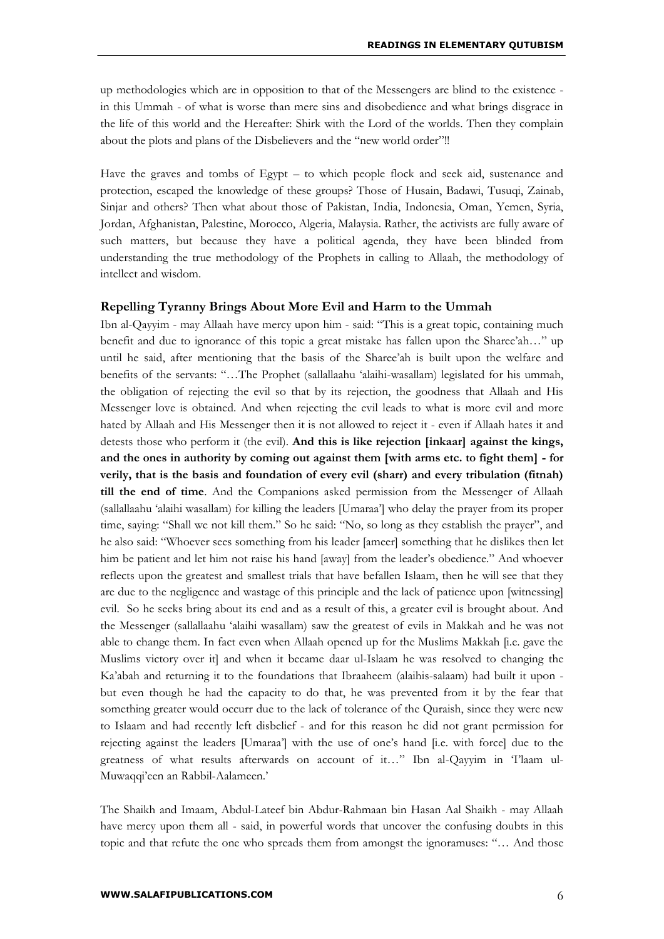up methodologies which are in opposition to that of the Messengers are blind to the existence in this Ummah - of what is worse than mere sins and disobedience and what brings disgrace in the life of this world and the Hereafter: Shirk with the Lord of the worlds. Then they complain about the plots and plans of the Disbelievers and the "new world order"!!

Have the graves and tombs of Egypt – to which people flock and seek aid, sustenance and protection, escaped the knowledge of these groups? Those of Husain, Badawi, Tusuqi, Zainab, Sinjar and others? Then what about those of Pakistan, India, Indonesia, Oman, Yemen, Syria, Jordan, Afghanistan, Palestine, Morocco, Algeria, Malaysia. Rather, the activists are fully aware of such matters, but because they have a political agenda, they have been blinded from understanding the true methodology of the Prophets in calling to Allaah, the methodology of intellect and wisdom.

#### **Repelling Tyranny Brings About More Evil and Harm to the Ummah**

Ibn al-Qayyim - may Allaah have mercy upon him - said: "This is a great topic, containing much benefit and due to ignorance of this topic a great mistake has fallen upon the Sharee'ah…" up until he said, after mentioning that the basis of the Sharee'ah is built upon the welfare and benefits of the servants: "…The Prophet (sallallaahu 'alaihi-wasallam) legislated for his ummah, the obligation of rejecting the evil so that by its rejection, the goodness that Allaah and His Messenger love is obtained. And when rejecting the evil leads to what is more evil and more hated by Allaah and His Messenger then it is not allowed to reject it - even if Allaah hates it and detests those who perform it (the evil). **And this is like rejection [inkaar] against the kings, and the ones in authority by coming out against them [with arms etc. to fight them] - for verily, that is the basis and foundation of every evil (sharr) and every tribulation (fitnah) till the end of time**. And the Companions asked permission from the Messenger of Allaah (sallallaahu 'alaihi wasallam) for killing the leaders [Umaraa'] who delay the prayer from its proper time, saying: "Shall we not kill them." So he said: "No, so long as they establish the prayer", and he also said: "Whoever sees something from his leader [ameer] something that he dislikes then let him be patient and let him not raise his hand [away] from the leader's obedience." And whoever reflects upon the greatest and smallest trials that have befallen Islaam, then he will see that they are due to the negligence and wastage of this principle and the lack of patience upon [witnessing] evil. So he seeks bring about its end and as a result of this, a greater evil is brought about. And the Messenger (sallallaahu 'alaihi wasallam) saw the greatest of evils in Makkah and he was not able to change them. In fact even when Allaah opened up for the Muslims Makkah [i.e. gave the Muslims victory over it] and when it became daar ul-Islaam he was resolved to changing the Ka'abah and returning it to the foundations that Ibraaheem (alaihis-salaam) had built it upon but even though he had the capacity to do that, he was prevented from it by the fear that something greater would occurr due to the lack of tolerance of the Quraish, since they were new to Islaam and had recently left disbelief - and for this reason he did not grant permission for rejecting against the leaders [Umaraa'] with the use of one's hand [i.e. with force] due to the greatness of what results afterwards on account of it…" Ibn al-Qayyim in 'I'laam ul-Muwaqqi'een an Rabbil-Aalameen.'

The Shaikh and Imaam, Abdul-Lateef bin Abdur-Rahmaan bin Hasan Aal Shaikh - may Allaah have mercy upon them all - said, in powerful words that uncover the confusing doubts in this topic and that refute the one who spreads them from amongst the ignoramuses: "… And those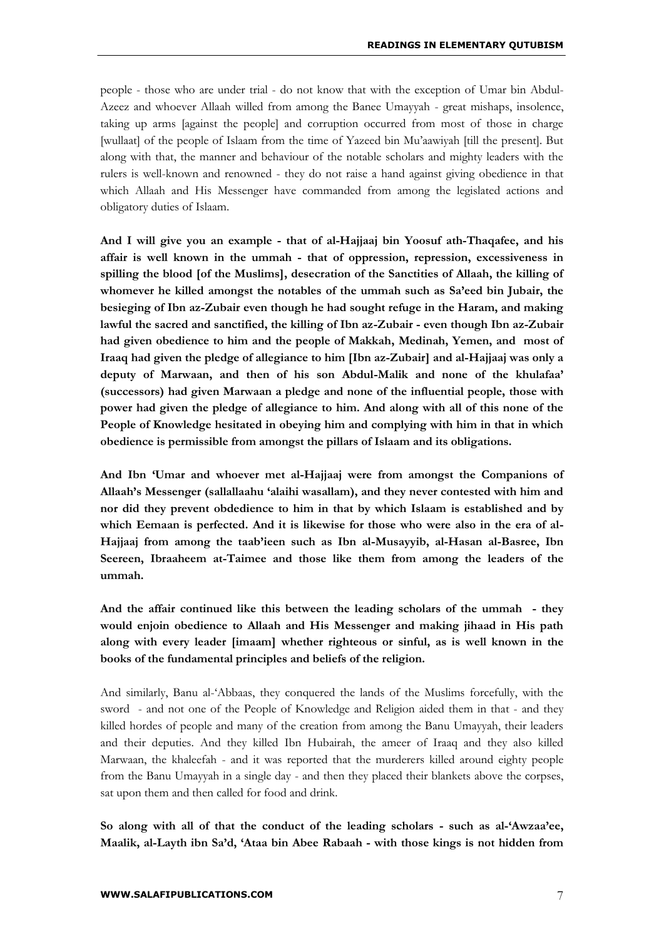people - those who are under trial - do not know that with the exception of Umar bin Abdul-Azeez and whoever Allaah willed from among the Banee Umayyah - great mishaps, insolence, taking up arms [against the people] and corruption occurred from most of those in charge [wullaat] of the people of Islaam from the time of Yazeed bin Mu'aawiyah [till the present]. But along with that, the manner and behaviour of the notable scholars and mighty leaders with the rulers is well-known and renowned - they do not raise a hand against giving obedience in that which Allaah and His Messenger have commanded from among the legislated actions and obligatory duties of Islaam.

**And I will give you an example - that of al-Hajjaaj bin Yoosuf ath-Thaqafee, and his affair is well known in the ummah - that of oppression, repression, excessiveness in spilling the blood [of the Muslims], desecration of the Sanctities of Allaah, the killing of whomever he killed amongst the notables of the ummah such as Sa'eed bin Jubair, the besieging of Ibn az-Zubair even though he had sought refuge in the Haram, and making lawful the sacred and sanctified, the killing of Ibn az-Zubair - even though Ibn az-Zubair had given obedience to him and the people of Makkah, Medinah, Yemen, and most of Iraaq had given the pledge of allegiance to him [Ibn az-Zubair] and al-Hajjaaj was only a deputy of Marwaan, and then of his son Abdul-Malik and none of the khulafaa' (successors) had given Marwaan a pledge and none of the influential people, those with power had given the pledge of allegiance to him. And along with all of this none of the People of Knowledge hesitated in obeying him and complying with him in that in which obedience is permissible from amongst the pillars of Islaam and its obligations.**

**And Ibn 'Umar and whoever met al-Hajjaaj were from amongst the Companions of Allaah's Messenger (sallallaahu 'alaihi wasallam), and they never contested with him and nor did they prevent obdedience to him in that by which Islaam is established and by which Eemaan is perfected. And it is likewise for those who were also in the era of al-Hajjaaj from among the taab'ieen such as Ibn al-Musayyib, al-Hasan al-Basree, Ibn Seereen, Ibraaheem at-Taimee and those like them from among the leaders of the ummah.**

**And the affair continued like this between the leading scholars of the ummah - they would enjoin obedience to Allaah and His Messenger and making jihaad in His path along with every leader [imaam] whether righteous or sinful, as is well known in the books of the fundamental principles and beliefs of the religion.**

And similarly, Banu al-'Abbaas, they conquered the lands of the Muslims forcefully, with the sword - and not one of the People of Knowledge and Religion aided them in that - and they killed hordes of people and many of the creation from among the Banu Umayyah, their leaders and their deputies. And they killed Ibn Hubairah, the ameer of Iraaq and they also killed Marwaan, the khaleefah - and it was reported that the murderers killed around eighty people from the Banu Umayyah in a single day - and then they placed their blankets above the corpses, sat upon them and then called for food and drink.

**So along with all of that the conduct of the leading scholars - such as al-'Awzaa'ee, Maalik, al-Layth ibn Sa'd, 'Ataa bin Abee Rabaah - with those kings is not hidden from**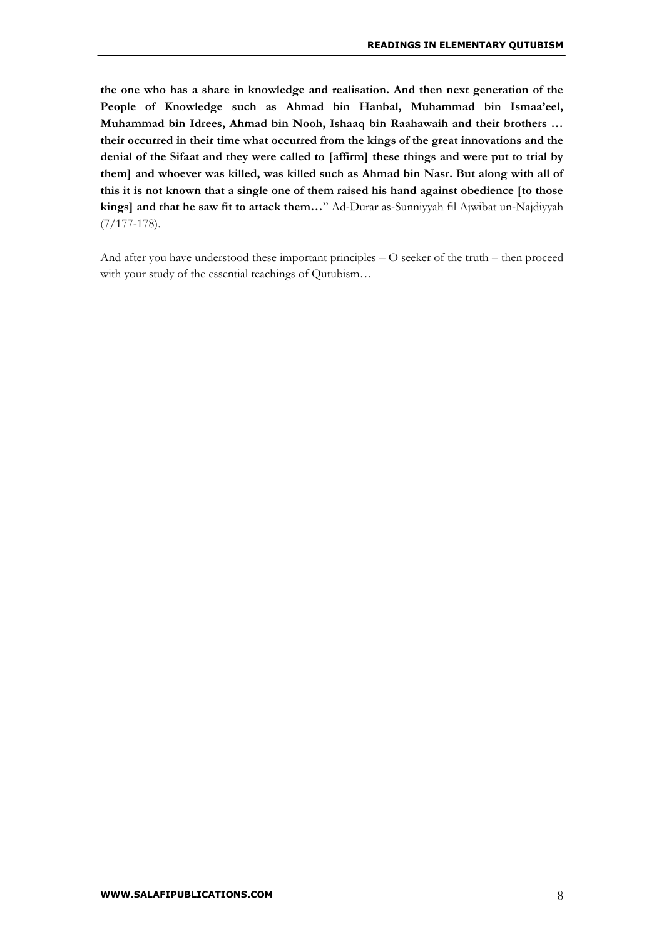**the one who has a share in knowledge and realisation. And then next generation of the People of Knowledge such as Ahmad bin Hanbal, Muhammad bin Ismaa'eel, Muhammad bin Idrees, Ahmad bin Nooh, Ishaaq bin Raahawaih and their brothers … their occurred in their time what occurred from the kings of the great innovations and the denial of the Sifaat and they were called to [affirm] these things and were put to trial by them] and whoever was killed, was killed such as Ahmad bin Nasr. But along with all of this it is not known that a single one of them raised his hand against obedience [to those kings] and that he saw fit to attack them…**" Ad-Durar as-Sunniyyah fil Ajwibat un-Najdiyyah (7/177-178).

And after you have understood these important principles – O seeker of the truth – then proceed with your study of the essential teachings of Qutubism…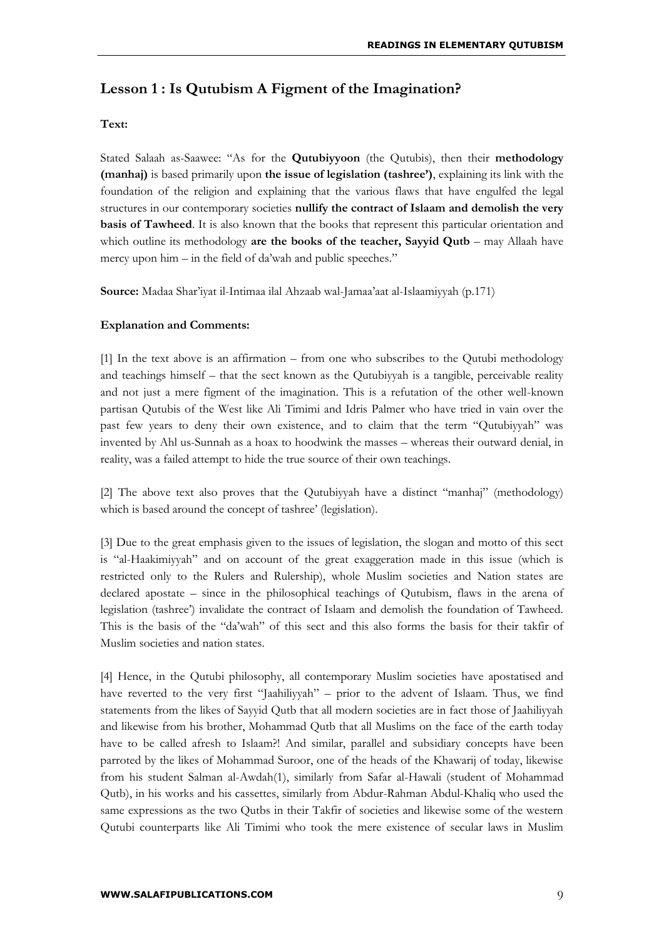# **Lesson 1 : Is Qutubism A Figment of the Imagination?**

### **Text:**

Stated Salaah as-Saawee: "As for the **Qutubiyyoon** (the Qutubis), then their **methodology (manhaj)** is based primarily upon **the issue of legislation (tashree')**, explaining its link with the foundation of the religion and explaining that the various flaws that have engulfed the legal structures in our contemporary societies **nullify the contract of Islaam and demolish the very basis of Tawheed**. It is also known that the books that represent this particular orientation and which outline its methodology **are the books of the teacher, Sayyid Qutb** – may Allaah have mercy upon him – in the field of da'wah and public speeches."

**Source:** Madaa Shar'iyat il-Intimaa ilal Ahzaab wal-Jamaa'aat al-Islaamiyyah (p.171)

### **Explanation and Comments:**

[1] In the text above is an affirmation – from one who subscribes to the Qutubi methodology and teachings himself – that the sect known as the Qutubiyyah is a tangible, perceivable reality and not just a mere figment of the imagination. This is a refutation of the other well-known partisan Qutubis of the West like Ali Timimi and Idris Palmer who have tried in vain over the past few years to deny their own existence, and to claim that the term "Qutubiyyah" was invented by Ahl us-Sunnah as a hoax to hoodwink the masses – whereas their outward denial, in reality, was a failed attempt to hide the true source of their own teachings.

[2] The above text also proves that the Qutubiyyah have a distinct "manhaj" (methodology) which is based around the concept of tashree' (legislation).

[3] Due to the great emphasis given to the issues of legislation, the slogan and motto of this sect is "al-Haakimiyyah" and on account of the great exaggeration made in this issue (which is restricted only to the Rulers and Rulership), whole Muslim societies and Nation states are declared apostate – since in the philosophical teachings of Qutubism, flaws in the arena of legislation (tashree') invalidate the contract of Islaam and demolish the foundation of Tawheed. This is the basis of the "da'wah" of this sect and this also forms the basis for their takfir of Muslim societies and nation states.

[4] Hence, in the Qutubi philosophy, all contemporary Muslim societies have apostatised and have reverted to the very first "Jaahiliyyah" – prior to the advent of Islaam. Thus, we find statements from the likes of Sayyid Qutb that all modern societies are in fact those of Jaahiliyyah and likewise from his brother, Mohammad Qutb that all Muslims on the face of the earth today have to be called afresh to Islaam?! And similar, parallel and subsidiary concepts have been parroted by the likes of Mohammad Suroor, one of the heads of the Khawarij of today, likewise from his student Salman al-Awdah(1), similarly from Safar al-Hawali (student of Mohammad Qutb), in his works and his cassettes, similarly from Abdur-Rahman Abdul-Khaliq who used the same expressions as the two Qutbs in their Takfir of societies and likewise some of the western Qutubi counterparts like Ali Timimi who took the mere existence of secular laws in Muslim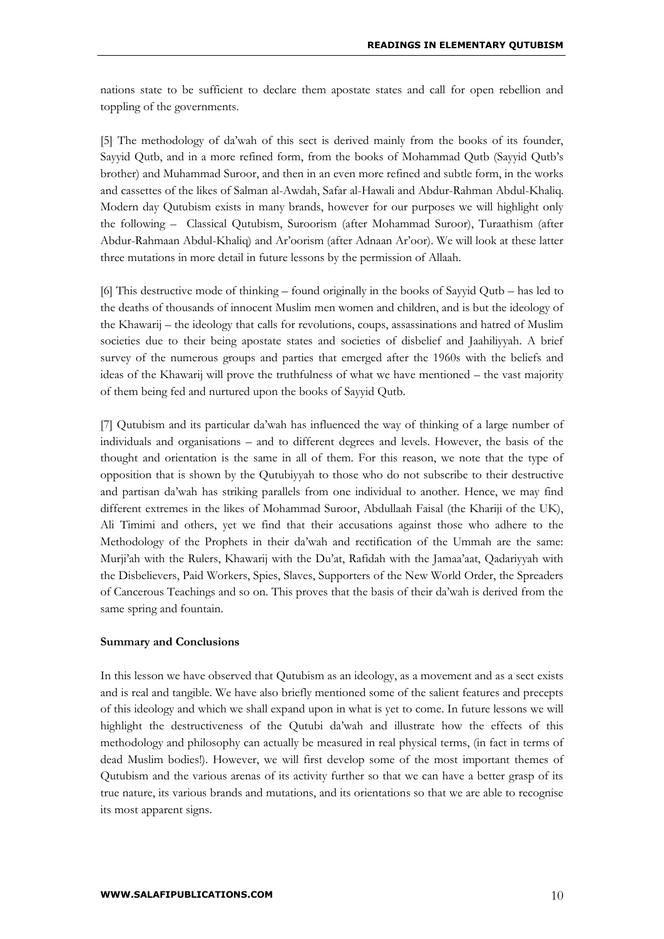nations state to be sufficient to declare them apostate states and call for open rebellion and toppling of the governments.

[5] The methodology of da'wah of this sect is derived mainly from the books of its founder, Sayyid Qutb, and in a more refined form, from the books of Mohammad Qutb (Sayyid Qutb's brother) and Muhammad Suroor, and then in an even more refined and subtle form, in the works and cassettes of the likes of Salman al-Awdah, Safar al-Hawali and Abdur-Rahman Abdul-Khaliq. Modern day Qutubism exists in many brands, however for our purposes we will highlight only the following – Classical Qutubism, Suroorism (after Mohammad Suroor), Turaathism (after Abdur-Rahmaan Abdul-Khaliq) and Ar'oorism (after Adnaan Ar'oor). We will look at these latter three mutations in more detail in future lessons by the permission of Allaah.

[6] This destructive mode of thinking – found originally in the books of Sayyid Qutb – has led to the deaths of thousands of innocent Muslim men women and children, and is but the ideology of the Khawarij – the ideology that calls for revolutions, coups, assassinations and hatred of Muslim societies due to their being apostate states and societies of disbelief and Jaahiliyyah. A brief survey of the numerous groups and parties that emerged after the 1960s with the beliefs and ideas of the Khawarij will prove the truthfulness of what we have mentioned – the vast majority of them being fed and nurtured upon the books of Sayyid Qutb.

[7] Qutubism and its particular da'wah has influenced the way of thinking of a large number of individuals and organisations – and to different degrees and levels. However, the basis of the thought and orientation is the same in all of them. For this reason, we note that the type of opposition that is shown by the Qutubiyyah to those who do not subscribe to their destructive and partisan da'wah has striking parallels from one individual to another. Hence, we may find different extremes in the likes of Mohammad Suroor, Abdullaah Faisal (the Khariji of the UK), Ali Timimi and others, yet we find that their accusations against those who adhere to the Methodology of the Prophets in their da'wah and rectification of the Ummah are the same: Murji'ah with the Rulers, Khawarij with the Du'at, Rafidah with the Jamaa'aat, Qadariyyah with the Disbelievers, Paid Workers, Spies, Slaves, Supporters of the New World Order, the Spreaders of Cancerous Teachings and so on. This proves that the basis of their da'wah is derived from the same spring and fountain.

### **Summary and Conclusions**

In this lesson we have observed that Qutubism as an ideology, as a movement and as a sect exists and is real and tangible. We have also briefly mentioned some of the salient features and precepts of this ideology and which we shall expand upon in what is yet to come. In future lessons we will highlight the destructiveness of the Qutubi da'wah and illustrate how the effects of this methodology and philosophy can actually be measured in real physical terms, (in fact in terms of dead Muslim bodies!). However, we will first develop some of the most important themes of Qutubism and the various arenas of its activity further so that we can have a better grasp of its true nature, its various brands and mutations, and its orientations so that we are able to recognise its most apparent signs.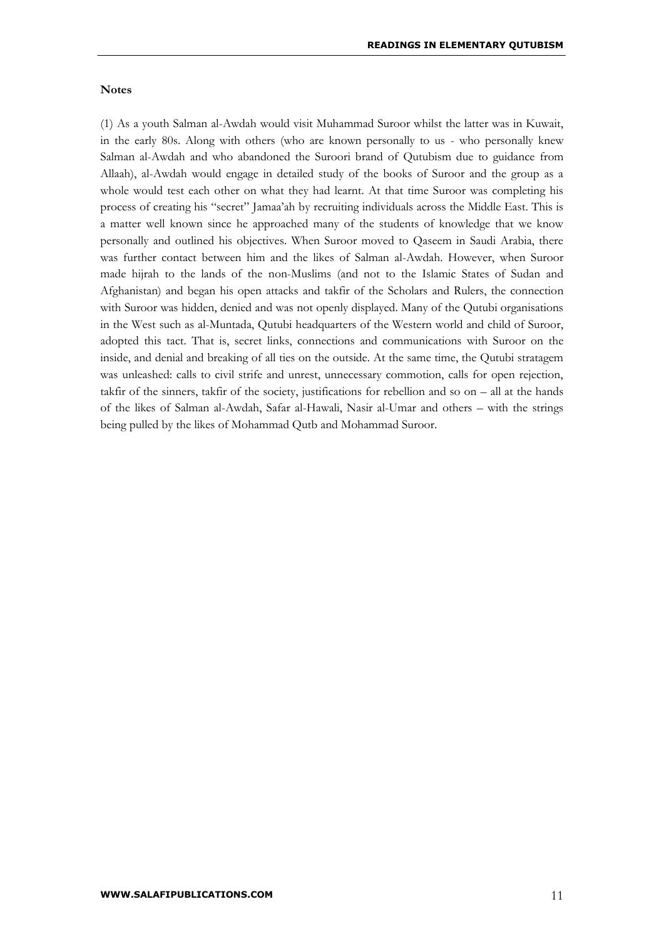#### **Notes**

(1) As a youth Salman al-Awdah would visit Muhammad Suroor whilst the latter was in Kuwait, in the early 80s. Along with others (who are known personally to us - who personally knew Salman al-Awdah and who abandoned the Suroori brand of Qutubism due to guidance from Allaah), al-Awdah would engage in detailed study of the books of Suroor and the group as a whole would test each other on what they had learnt. At that time Suroor was completing his process of creating his "secret" Jamaa'ah by recruiting individuals across the Middle East. This is a matter well known since he approached many of the students of knowledge that we know personally and outlined his objectives. When Suroor moved to Qaseem in Saudi Arabia, there was further contact between him and the likes of Salman al-Awdah. However, when Suroor made hijrah to the lands of the non-Muslims (and not to the Islamic States of Sudan and Afghanistan) and began his open attacks and takfir of the Scholars and Rulers, the connection with Suroor was hidden, denied and was not openly displayed. Many of the Qutubi organisations in the West such as al-Muntada, Qutubi headquarters of the Western world and child of Suroor, adopted this tact. That is, secret links, connections and communications with Suroor on the inside, and denial and breaking of all ties on the outside. At the same time, the Qutubi stratagem was unleashed: calls to civil strife and unrest, unnecessary commotion, calls for open rejection, takfir of the sinners, takfir of the society, justifications for rebellion and so on – all at the hands of the likes of Salman al-Awdah, Safar al-Hawali, Nasir al-Umar and others – with the strings being pulled by the likes of Mohammad Qutb and Mohammad Suroor.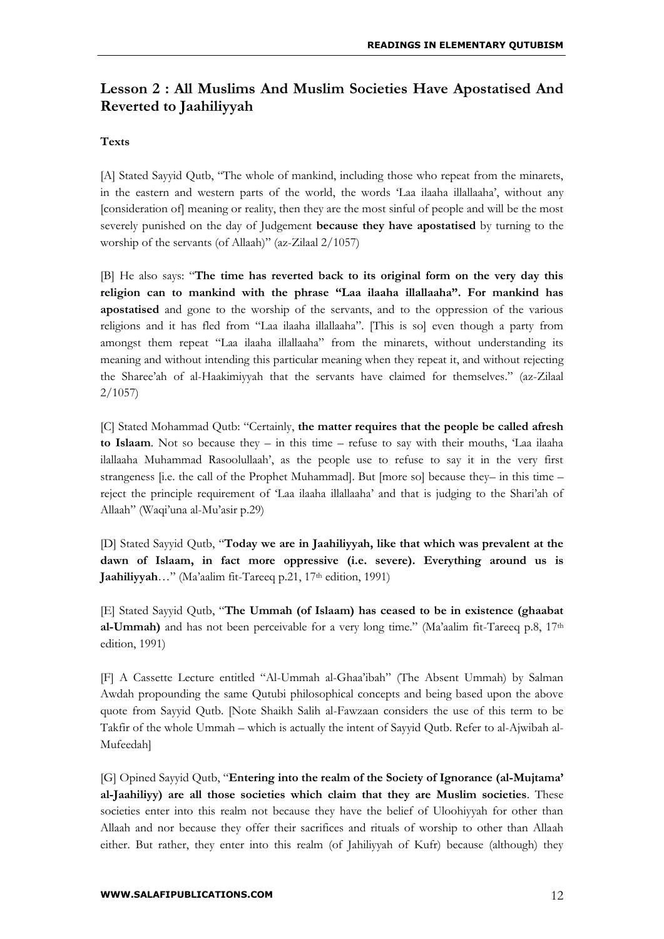# **Lesson 2 : All Muslims And Muslim Societies Have Apostatised And Reverted to Jaahiliyyah**

### **Texts**

[A] Stated Sayyid Qutb, "The whole of mankind, including those who repeat from the minarets, in the eastern and western parts of the world, the words 'Laa ilaaha illallaaha', without any [consideration of] meaning or reality, then they are the most sinful of people and will be the most severely punished on the day of Judgement **because they have apostatised** by turning to the worship of the servants (of Allaah)" (az-Zilaal 2/1057)

[B] He also says: "**The time has reverted back to its original form on the very day this religion can to mankind with the phrase "Laa ilaaha illallaaha". For mankind has apostatised** and gone to the worship of the servants, and to the oppression of the various religions and it has fled from "Laa ilaaha illallaaha". [This is so] even though a party from amongst them repeat "Laa ilaaha illallaaha" from the minarets, without understanding its meaning and without intending this particular meaning when they repeat it, and without rejecting the Sharee'ah of al-Haakimiyyah that the servants have claimed for themselves." (az-Zilaal 2/1057)

[C] Stated Mohammad Qutb: "Certainly, **the matter requires that the people be called afresh to Islaam**. Not so because they – in this time – refuse to say with their mouths, 'Laa ilaaha ilallaaha Muhammad Rasoolullaah', as the people use to refuse to say it in the very first strangeness [i.e. the call of the Prophet Muhammad]. But [more so] because they– in this time – reject the principle requirement of 'Laa ilaaha illallaaha' and that is judging to the Shari'ah of Allaah" (Waqi'una al-Mu'asir p.29)

[D] Stated Sayyid Qutb, "**Today we are in Jaahiliyyah, like that which was prevalent at the dawn of Islaam, in fact more oppressive (i.e. severe). Everything around us is Jaahiliyyah**…" (Ma'aalim fit-Tareeq p.21, 17<sup>th</sup> edition, 1991)

[E] Stated Sayyid Qutb, "**The Ummah (of Islaam) has ceased to be in existence (ghaabat**  al-Ummah) and has not been perceivable for a very long time." (Ma'aalim fit-Tareeq p.8, 17<sup>th</sup> edition, 1991)

[F] A Cassette Lecture entitled "Al-Ummah al-Ghaa'ibah" (The Absent Ummah) by Salman Awdah propounding the same Qutubi philosophical concepts and being based upon the above quote from Sayyid Qutb. [Note Shaikh Salih al-Fawzaan considers the use of this term to be Takfir of the whole Ummah – which is actually the intent of Sayyid Qutb. Refer to al-Ajwibah al-Mufeedah]

[G] Opined Sayyid Qutb, "**Entering into the realm of the Society of Ignorance (al-Mujtama' al-Jaahiliyy) are all those societies which claim that they are Muslim societies**. These societies enter into this realm not because they have the belief of Uloohiyyah for other than Allaah and nor because they offer their sacrifices and rituals of worship to other than Allaah either. But rather, they enter into this realm (of Jahiliyyah of Kufr) because (although) they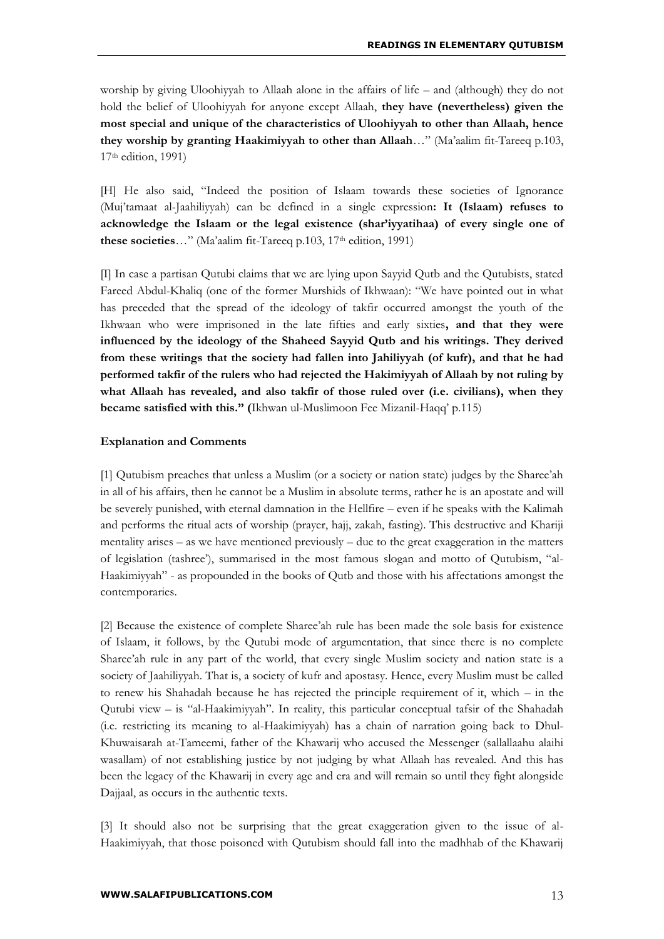worship by giving Uloohiyyah to Allaah alone in the affairs of life – and (although) they do not hold the belief of Uloohiyyah for anyone except Allaah, **they have (nevertheless) given the most special and unique of the characteristics of Uloohiyyah to other than Allaah, hence they worship by granting Haakimiyyah to other than Allaah**…" (Ma'aalim fit-Tareeq p.103, 17th edition, 1991)

[H] He also said, "Indeed the position of Islaam towards these societies of Ignorance (Muj'tamaat al-Jaahiliyyah) can be defined in a single expression**: It (Islaam) refuses to acknowledge the Islaam or the legal existence (shar'iyyatihaa) of every single one of**  these societies..." (Ma'aalim fit-Tareeq p.103, 17<sup>th</sup> edition, 1991)

[I] In case a partisan Qutubi claims that we are lying upon Sayyid Qutb and the Qutubists, stated Fareed Abdul-Khaliq (one of the former Murshids of Ikhwaan): "We have pointed out in what has preceded that the spread of the ideology of takfir occurred amongst the youth of the Ikhwaan who were imprisoned in the late fifties and early sixties**, and that they were influenced by the ideology of the Shaheed Sayyid Qutb and his writings. They derived from these writings that the society had fallen into Jahiliyyah (of kufr), and that he had performed takfir of the rulers who had rejected the Hakimiyyah of Allaah by not ruling by what Allaah has revealed, and also takfir of those ruled over (i.e. civilians), when they became satisfied with this." (**Ikhwan ul-Muslimoon Fee Mizanil-Haqq' p.115)

### **Explanation and Comments**

[1] Qutubism preaches that unless a Muslim (or a society or nation state) judges by the Sharee'ah in all of his affairs, then he cannot be a Muslim in absolute terms, rather he is an apostate and will be severely punished, with eternal damnation in the Hellfire – even if he speaks with the Kalimah and performs the ritual acts of worship (prayer, hajj, zakah, fasting). This destructive and Khariji mentality arises – as we have mentioned previously – due to the great exaggeration in the matters of legislation (tashree'), summarised in the most famous slogan and motto of Qutubism, "al-Haakimiyyah" - as propounded in the books of Qutb and those with his affectations amongst the contemporaries.

[2] Because the existence of complete Sharee'ah rule has been made the sole basis for existence of Islaam, it follows, by the Qutubi mode of argumentation, that since there is no complete Sharee'ah rule in any part of the world, that every single Muslim society and nation state is a society of Jaahiliyyah. That is, a society of kufr and apostasy. Hence, every Muslim must be called to renew his Shahadah because he has rejected the principle requirement of it, which – in the Qutubi view – is "al-Haakimiyyah". In reality, this particular conceptual tafsir of the Shahadah (i.e. restricting its meaning to al-Haakimiyyah) has a chain of narration going back to Dhul-Khuwaisarah at-Tameemi, father of the Khawarij who accused the Messenger (sallallaahu alaihi wasallam) of not establishing justice by not judging by what Allaah has revealed. And this has been the legacy of the Khawarij in every age and era and will remain so until they fight alongside Dajjaal, as occurs in the authentic texts.

[3] It should also not be surprising that the great exaggeration given to the issue of al-Haakimiyyah, that those poisoned with Qutubism should fall into the madhhab of the Khawarij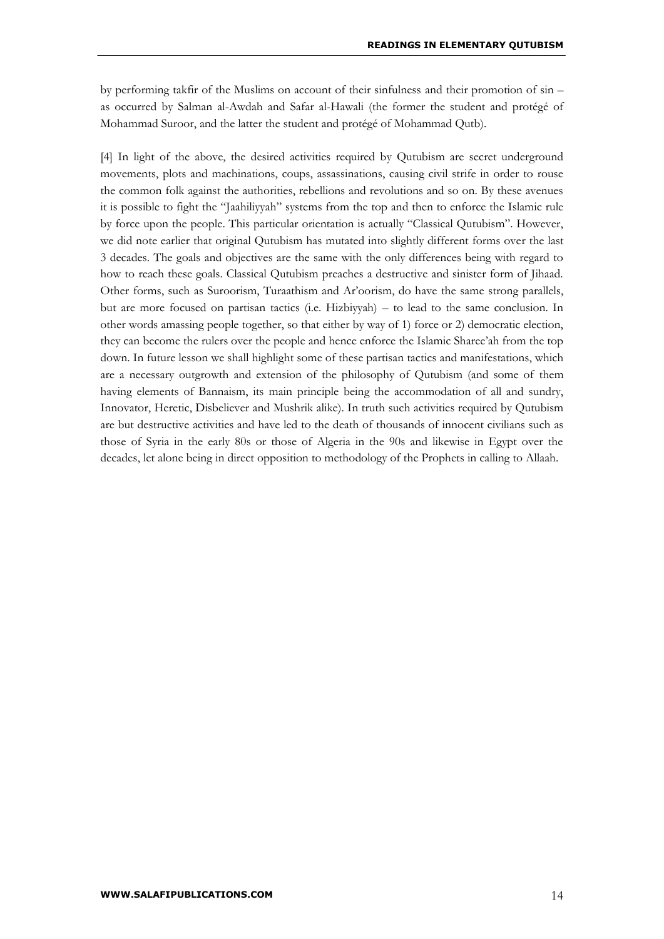by performing takfir of the Muslims on account of their sinfulness and their promotion of sin – as occurred by Salman al-Awdah and Safar al-Hawali (the former the student and protégé of Mohammad Suroor, and the latter the student and protégé of Mohammad Qutb).

[4] In light of the above, the desired activities required by Qutubism are secret underground movements, plots and machinations, coups, assassinations, causing civil strife in order to rouse the common folk against the authorities, rebellions and revolutions and so on. By these avenues it is possible to fight the "Jaahiliyyah" systems from the top and then to enforce the Islamic rule by force upon the people. This particular orientation is actually "Classical Qutubism". However, we did note earlier that original Qutubism has mutated into slightly different forms over the last 3 decades. The goals and objectives are the same with the only differences being with regard to how to reach these goals. Classical Qutubism preaches a destructive and sinister form of Jihaad. Other forms, such as Suroorism, Turaathism and Ar'oorism, do have the same strong parallels, but are more focused on partisan tactics (i.e. Hizbiyyah) – to lead to the same conclusion. In other words amassing people together, so that either by way of 1) force or 2) democratic election, they can become the rulers over the people and hence enforce the Islamic Sharee'ah from the top down. In future lesson we shall highlight some of these partisan tactics and manifestations, which are a necessary outgrowth and extension of the philosophy of Qutubism (and some of them having elements of Bannaism, its main principle being the accommodation of all and sundry, Innovator, Heretic, Disbeliever and Mushrik alike). In truth such activities required by Qutubism are but destructive activities and have led to the death of thousands of innocent civilians such as those of Syria in the early 80s or those of Algeria in the 90s and likewise in Egypt over the decades, let alone being in direct opposition to methodology of the Prophets in calling to Allaah.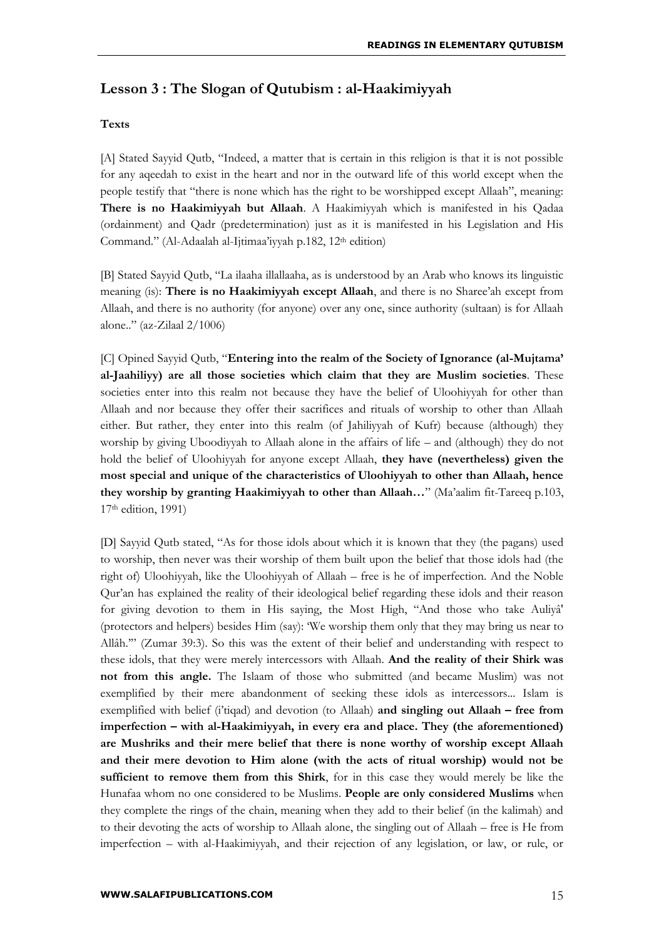# **Lesson 3 : The Slogan of Qutubism : al-Haakimiyyah**

### **Texts**

[A] Stated Sayyid Qutb, "Indeed, a matter that is certain in this religion is that it is not possible for any aqeedah to exist in the heart and nor in the outward life of this world except when the people testify that "there is none which has the right to be worshipped except Allaah", meaning: **There is no Haakimiyyah but Allaah**. A Haakimiyyah which is manifested in his Qadaa (ordainment) and Qadr (predetermination) just as it is manifested in his Legislation and His Command." (Al-Adaalah al-Ijtimaa'iyyah p.182, 12<sup>th</sup> edition)

[B] Stated Sayyid Qutb, "La ilaaha illallaaha, as is understood by an Arab who knows its linguistic meaning (is): **There is no Haakimiyyah except Allaah**, and there is no Sharee'ah except from Allaah, and there is no authority (for anyone) over any one, since authority (sultaan) is for Allaah alone.." (az-Zilaal 2/1006)

[C] Opined Sayyid Qutb, "**Entering into the realm of the Society of Ignorance (al-Mujtama' al-Jaahiliyy) are all those societies which claim that they are Muslim societies**. These societies enter into this realm not because they have the belief of Uloohiyyah for other than Allaah and nor because they offer their sacrifices and rituals of worship to other than Allaah either. But rather, they enter into this realm (of Jahiliyyah of Kufr) because (although) they worship by giving Uboodiyyah to Allaah alone in the affairs of life – and (although) they do not hold the belief of Uloohiyyah for anyone except Allaah, **they have (nevertheless) given the most special and unique of the characteristics of Uloohiyyah to other than Allaah, hence they worship by granting Haakimiyyah to other than Allaah…**" (Ma'aalim fit-Tareeq p.103, 17th edition, 1991)

[D] Sayyid Qutb stated, "As for those idols about which it is known that they (the pagans) used to worship, then never was their worship of them built upon the belief that those idols had (the right of) Uloohiyyah, like the Uloohiyyah of Allaah – free is he of imperfection. And the Noble Qur'an has explained the reality of their ideological belief regarding these idols and their reason for giving devotion to them in His saying, the Most High, "And those who take Auliyâ' (protectors and helpers) besides Him (say): 'We worship them only that they may bring us near to Allâh.'" (Zumar 39:3). So this was the extent of their belief and understanding with respect to these idols, that they were merely intercessors with Allaah. **And the reality of their Shirk was not from this angle.** The Islaam of those who submitted (and became Muslim) was not exemplified by their mere abandonment of seeking these idols as intercessors... Islam is exemplified with belief (i'tiqad) and devotion (to Allaah) **and singling out Allaah – free from imperfection – with al-Haakimiyyah, in every era and place. They (the aforementioned) are Mushriks and their mere belief that there is none worthy of worship except Allaah and their mere devotion to Him alone (with the acts of ritual worship) would not be sufficient to remove them from this Shirk**, for in this case they would merely be like the Hunafaa whom no one considered to be Muslims. **People are only considered Muslims** when they complete the rings of the chain, meaning when they add to their belief (in the kalimah) and to their devoting the acts of worship to Allaah alone, the singling out of Allaah – free is He from imperfection – with al-Haakimiyyah, and their rejection of any legislation, or law, or rule, or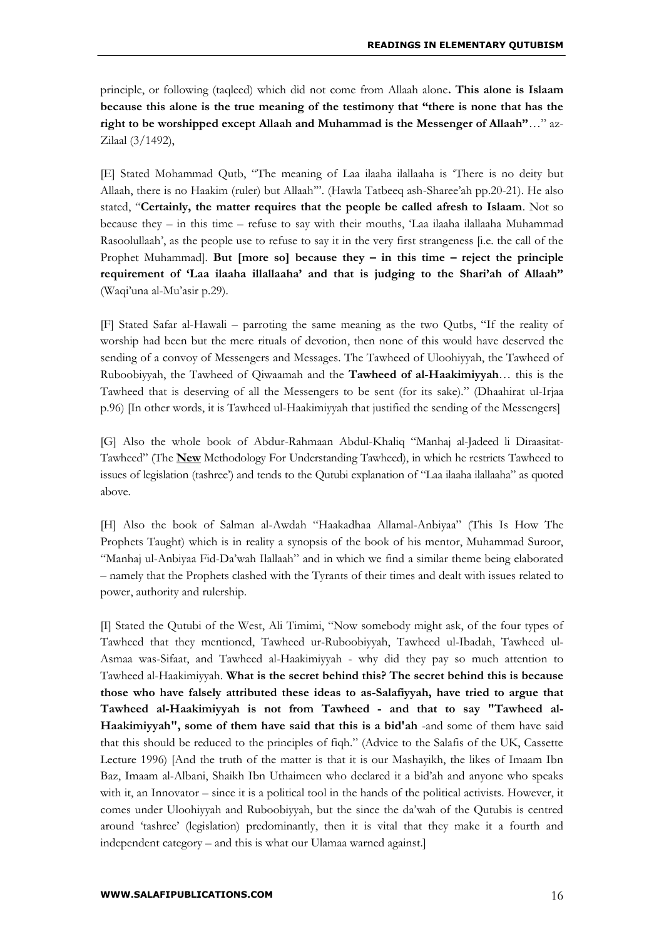principle, or following (taqleed) which did not come from Allaah alone**. This alone is Islaam because this alone is the true meaning of the testimony that "there is none that has the right to be worshipped except Allaah and Muhammad is the Messenger of Allaah"**…" az-Zilaal (3/1492),

[E] Stated Mohammad Qutb, "The meaning of Laa ilaaha ilallaaha is 'There is no deity but Allaah, there is no Haakim (ruler) but Allaah'". (Hawla Tatbeeq ash-Sharee'ah pp.20-21). He also stated, "**Certainly, the matter requires that the people be called afresh to Islaam**. Not so because they – in this time – refuse to say with their mouths, 'Laa ilaaha ilallaaha Muhammad Rasoolullaah', as the people use to refuse to say it in the very first strangeness [i.e. the call of the Prophet Muhammad]. **But [more so] because they – in this time – reject the principle requirement of 'Laa ilaaha illallaaha' and that is judging to the Shari'ah of Allaah"** (Waqi'una al-Mu'asir p.29).

[F] Stated Safar al-Hawali – parroting the same meaning as the two Qutbs, "If the reality of worship had been but the mere rituals of devotion, then none of this would have deserved the sending of a convoy of Messengers and Messages. The Tawheed of Uloohiyyah, the Tawheed of Ruboobiyyah, the Tawheed of Qiwaamah and the **Tawheed of al-Haakimiyyah**… this is the Tawheed that is deserving of all the Messengers to be sent (for its sake)." (Dhaahirat ul-Irjaa p.96) [In other words, it is Tawheed ul-Haakimiyyah that justified the sending of the Messengers]

[G] Also the whole book of Abdur-Rahmaan Abdul-Khaliq "Manhaj al-Jadeed li Diraasitat-Tawheed" (The **New** Methodology For Understanding Tawheed), in which he restricts Tawheed to issues of legislation (tashree') and tends to the Qutubi explanation of "Laa ilaaha ilallaaha" as quoted above.

[H] Also the book of Salman al-Awdah "Haakadhaa Allamal-Anbiyaa" (This Is How The Prophets Taught) which is in reality a synopsis of the book of his mentor, Muhammad Suroor, "Manhaj ul-Anbiyaa Fid-Da'wah Ilallaah" and in which we find a similar theme being elaborated – namely that the Prophets clashed with the Tyrants of their times and dealt with issues related to power, authority and rulership.

[I] Stated the Qutubi of the West, Ali Timimi, "Now somebody might ask, of the four types of Tawheed that they mentioned, Tawheed ur-Ruboobiyyah, Tawheed ul-Ibadah, Tawheed ul-Asmaa was-Sifaat, and Tawheed al-Haakimiyyah - why did they pay so much attention to Tawheed al-Haakimiyyah. **What is the secret behind this? The secret behind this is because those who have falsely attributed these ideas to as-Salafiyyah, have tried to argue that Tawheed al-Haakimiyyah is not from Tawheed - and that to say "Tawheed al-Haakimiyyah", some of them have said that this is a bid'ah** -and some of them have said that this should be reduced to the principles of fiqh." (Advice to the Salafis of the UK, Cassette Lecture 1996) [And the truth of the matter is that it is our Mashayikh, the likes of Imaam Ibn Baz, Imaam al-Albani, Shaikh Ibn Uthaimeen who declared it a bid'ah and anyone who speaks with it, an Innovator – since it is a political tool in the hands of the political activists. However, it comes under Uloohiyyah and Ruboobiyyah, but the since the da'wah of the Qutubis is centred around 'tashree' (legislation) predominantly, then it is vital that they make it a fourth and independent category – and this is what our Ulamaa warned against.]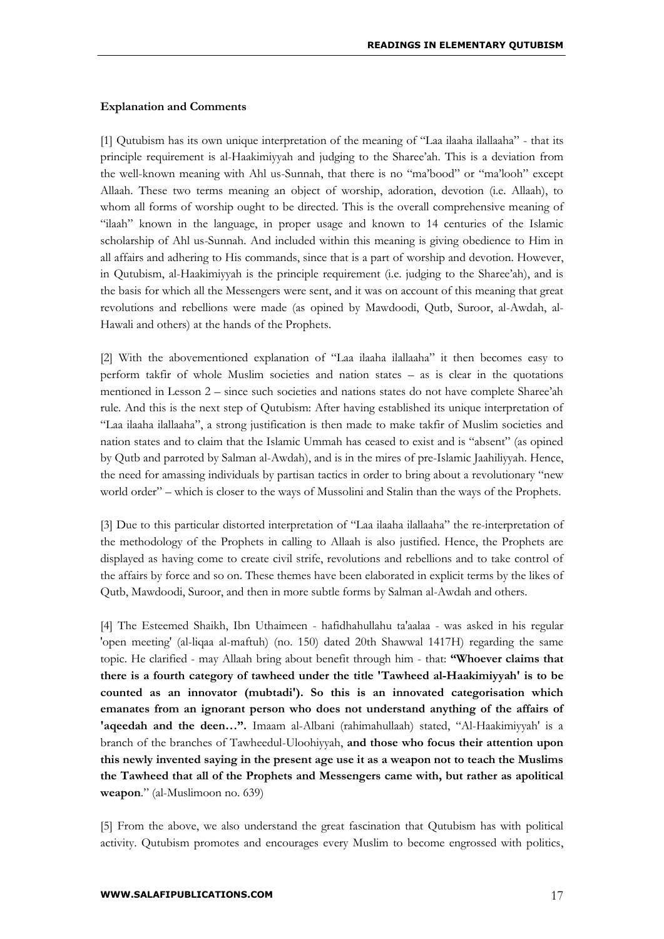#### **Explanation and Comments**

[1] Qutubism has its own unique interpretation of the meaning of "Laa ilaaha ilallaaha" - that its principle requirement is al-Haakimiyyah and judging to the Sharee'ah. This is a deviation from the well-known meaning with Ahl us-Sunnah, that there is no "ma'bood" or "ma'looh" except Allaah. These two terms meaning an object of worship, adoration, devotion (i.e. Allaah), to whom all forms of worship ought to be directed. This is the overall comprehensive meaning of "ilaah" known in the language, in proper usage and known to 14 centuries of the Islamic scholarship of Ahl us-Sunnah. And included within this meaning is giving obedience to Him in all affairs and adhering to His commands, since that is a part of worship and devotion. However, in Qutubism, al-Haakimiyyah is the principle requirement (i.e. judging to the Sharee'ah), and is the basis for which all the Messengers were sent, and it was on account of this meaning that great revolutions and rebellions were made (as opined by Mawdoodi, Qutb, Suroor, al-Awdah, al-Hawali and others) at the hands of the Prophets.

[2] With the abovementioned explanation of "Laa ilaaha ilallaaha" it then becomes easy to perform takfir of whole Muslim societies and nation states – as is clear in the quotations mentioned in Lesson 2 – since such societies and nations states do not have complete Sharee'ah rule. And this is the next step of Qutubism: After having established its unique interpretation of "Laa ilaaha ilallaaha", a strong justification is then made to make takfir of Muslim societies and nation states and to claim that the Islamic Ummah has ceased to exist and is "absent" (as opined by Qutb and parroted by Salman al-Awdah), and is in the mires of pre-Islamic Jaahiliyyah. Hence, the need for amassing individuals by partisan tactics in order to bring about a revolutionary "new world order" – which is closer to the ways of Mussolini and Stalin than the ways of the Prophets.

[3] Due to this particular distorted interpretation of "Laa ilaaha ilallaaha" the re-interpretation of the methodology of the Prophets in calling to Allaah is also justified. Hence, the Prophets are displayed as having come to create civil strife, revolutions and rebellions and to take control of the affairs by force and so on. These themes have been elaborated in explicit terms by the likes of Qutb, Mawdoodi, Suroor, and then in more subtle forms by Salman al-Awdah and others.

[4] The Esteemed Shaikh, Ibn Uthaimeen - hafidhahullahu ta'aalaa - was asked in his regular 'open meeting' (al-liqaa al-maftuh) (no. 150) dated 20th Shawwal 1417H) regarding the same topic. He clarified - may Allaah bring about benefit through him - that: **"Whoever claims that there is a fourth category of tawheed under the title 'Tawheed al-Haakimiyyah' is to be counted as an innovator (mubtadi'). So this is an innovated categorisation which emanates from an ignorant person who does not understand anything of the affairs of 'aqeedah and the deen…".** Imaam al-Albani (rahimahullaah) stated, "Al-Haakimiyyah' is a branch of the branches of Tawheedul-Uloohiyyah, **and those who focus their attention upon this newly invented saying in the present age use it as a weapon not to teach the Muslims the Tawheed that all of the Prophets and Messengers came with, but rather as apolitical weapon**." (al-Muslimoon no. 639)

[5] From the above, we also understand the great fascination that Qutubism has with political activity. Qutubism promotes and encourages every Muslim to become engrossed with politics,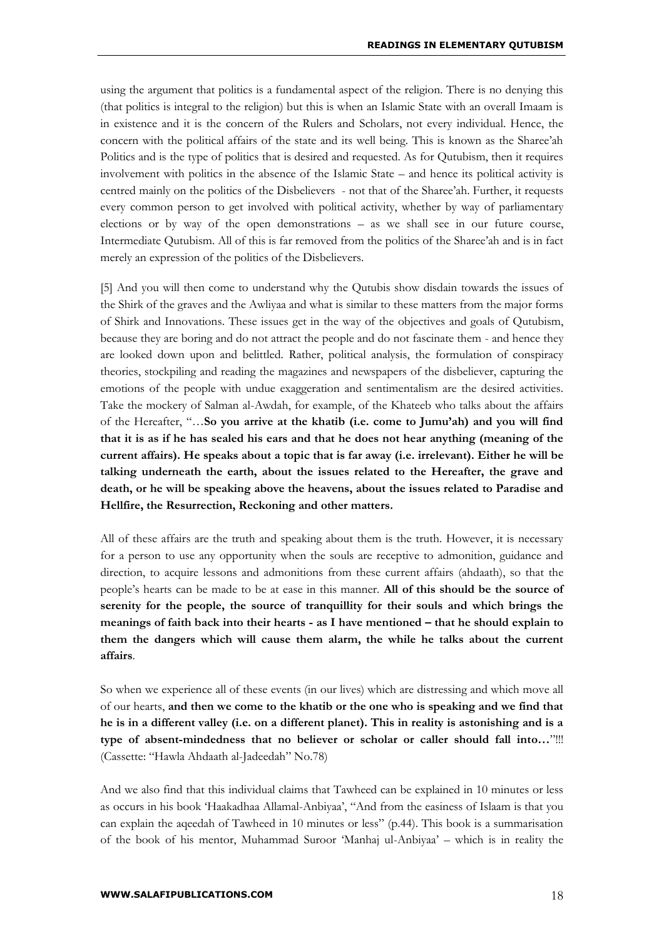using the argument that politics is a fundamental aspect of the religion. There is no denying this (that politics is integral to the religion) but this is when an Islamic State with an overall Imaam is in existence and it is the concern of the Rulers and Scholars, not every individual. Hence, the concern with the political affairs of the state and its well being. This is known as the Sharee'ah Politics and is the type of politics that is desired and requested. As for Qutubism, then it requires involvement with politics in the absence of the Islamic State – and hence its political activity is centred mainly on the politics of the Disbelievers - not that of the Sharee'ah. Further, it requests every common person to get involved with political activity, whether by way of parliamentary elections or by way of the open demonstrations – as we shall see in our future course, Intermediate Qutubism. All of this is far removed from the politics of the Sharee'ah and is in fact merely an expression of the politics of the Disbelievers.

[5] And you will then come to understand why the Qutubis show disdain towards the issues of the Shirk of the graves and the Awliyaa and what is similar to these matters from the major forms of Shirk and Innovations. These issues get in the way of the objectives and goals of Qutubism, because they are boring and do not attract the people and do not fascinate them - and hence they are looked down upon and belittled. Rather, political analysis, the formulation of conspiracy theories, stockpiling and reading the magazines and newspapers of the disbeliever, capturing the emotions of the people with undue exaggeration and sentimentalism are the desired activities. Take the mockery of Salman al-Awdah, for example, of the Khateeb who talks about the affairs of the Hereafter, "…**So you arrive at the khatib (i.e. come to Jumu'ah) and you will find that it is as if he has sealed his ears and that he does not hear anything (meaning of the current affairs). He speaks about a topic that is far away (i.e. irrelevant). Either he will be talking underneath the earth, about the issues related to the Hereafter, the grave and death, or he will be speaking above the heavens, about the issues related to Paradise and Hellfire, the Resurrection, Reckoning and other matters.**

All of these affairs are the truth and speaking about them is the truth. However, it is necessary for a person to use any opportunity when the souls are receptive to admonition, guidance and direction, to acquire lessons and admonitions from these current affairs (ahdaath), so that the people's hearts can be made to be at ease in this manner. **All of this should be the source of serenity for the people, the source of tranquillity for their souls and which brings the meanings of faith back into their hearts - as I have mentioned – that he should explain to them the dangers which will cause them alarm, the while he talks about the current affairs**.

So when we experience all of these events (in our lives) which are distressing and which move all of our hearts, **and then we come to the khatib or the one who is speaking and we find that he is in a different valley (i.e. on a different planet). This in reality is astonishing and is a type of absent-mindedness that no believer or scholar or caller should fall into…**"!!! (Cassette: "Hawla Ahdaath al-Jadeedah" No.78)

And we also find that this individual claims that Tawheed can be explained in 10 minutes or less as occurs in his book 'Haakadhaa Allamal-Anbiyaa', "And from the easiness of Islaam is that you can explain the aqeedah of Tawheed in 10 minutes or less" (p.44). This book is a summarisation of the book of his mentor, Muhammad Suroor 'Manhaj ul-Anbiyaa' – which is in reality the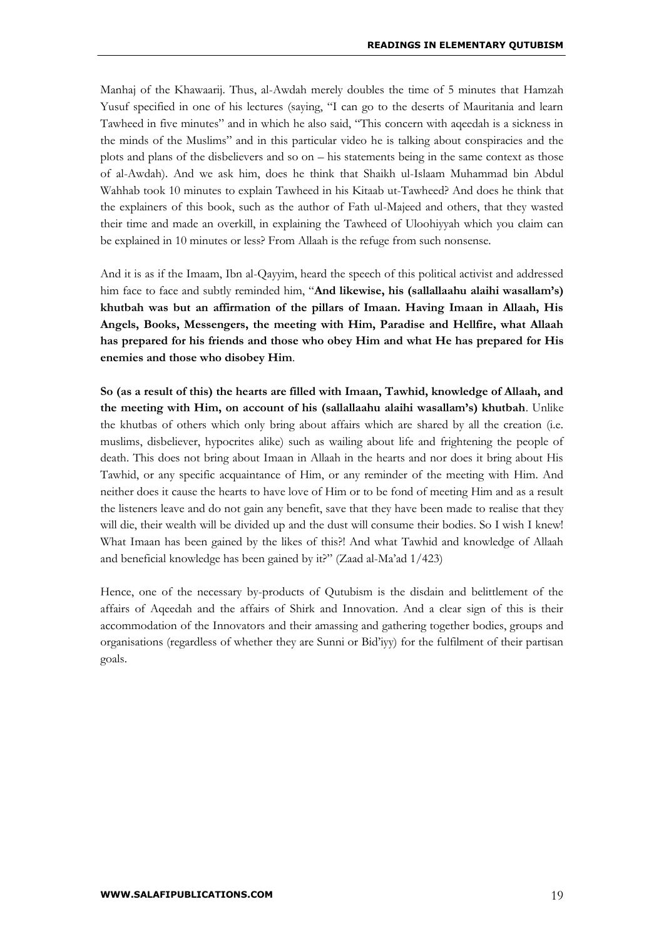Manhaj of the Khawaarij. Thus, al-Awdah merely doubles the time of 5 minutes that Hamzah Yusuf specified in one of his lectures (saying, "I can go to the deserts of Mauritania and learn Tawheed in five minutes" and in which he also said, "This concern with aqeedah is a sickness in the minds of the Muslims" and in this particular video he is talking about conspiracies and the plots and plans of the disbelievers and so on – his statements being in the same context as those of al-Awdah). And we ask him, does he think that Shaikh ul-Islaam Muhammad bin Abdul Wahhab took 10 minutes to explain Tawheed in his Kitaab ut-Tawheed? And does he think that the explainers of this book, such as the author of Fath ul-Majeed and others, that they wasted their time and made an overkill, in explaining the Tawheed of Uloohiyyah which you claim can be explained in 10 minutes or less? From Allaah is the refuge from such nonsense.

And it is as if the Imaam, Ibn al-Qayyim, heard the speech of this political activist and addressed him face to face and subtly reminded him, "**And likewise, his (sallallaahu alaihi wasallam's) khutbah was but an affirmation of the pillars of Imaan. Having Imaan in Allaah, His Angels, Books, Messengers, the meeting with Him, Paradise and Hellfire, what Allaah has prepared for his friends and those who obey Him and what He has prepared for His enemies and those who disobey Him**.

**So (as a result of this) the hearts are filled with Imaan, Tawhid, knowledge of Allaah, and the meeting with Him, on account of his (sallallaahu alaihi wasallam's) khutbah**. Unlike the khutbas of others which only bring about affairs which are shared by all the creation (i.e. muslims, disbeliever, hypocrites alike) such as wailing about life and frightening the people of death. This does not bring about Imaan in Allaah in the hearts and nor does it bring about His Tawhid, or any specific acquaintance of Him, or any reminder of the meeting with Him. And neither does it cause the hearts to have love of Him or to be fond of meeting Him and as a result the listeners leave and do not gain any benefit, save that they have been made to realise that they will die, their wealth will be divided up and the dust will consume their bodies. So I wish I knew! What Imaan has been gained by the likes of this?! And what Tawhid and knowledge of Allaah and beneficial knowledge has been gained by it?" (Zaad al-Ma'ad 1/423)

Hence, one of the necessary by-products of Qutubism is the disdain and belittlement of the affairs of Aqeedah and the affairs of Shirk and Innovation. And a clear sign of this is their accommodation of the Innovators and their amassing and gathering together bodies, groups and organisations (regardless of whether they are Sunni or Bid'iyy) for the fulfilment of their partisan goals.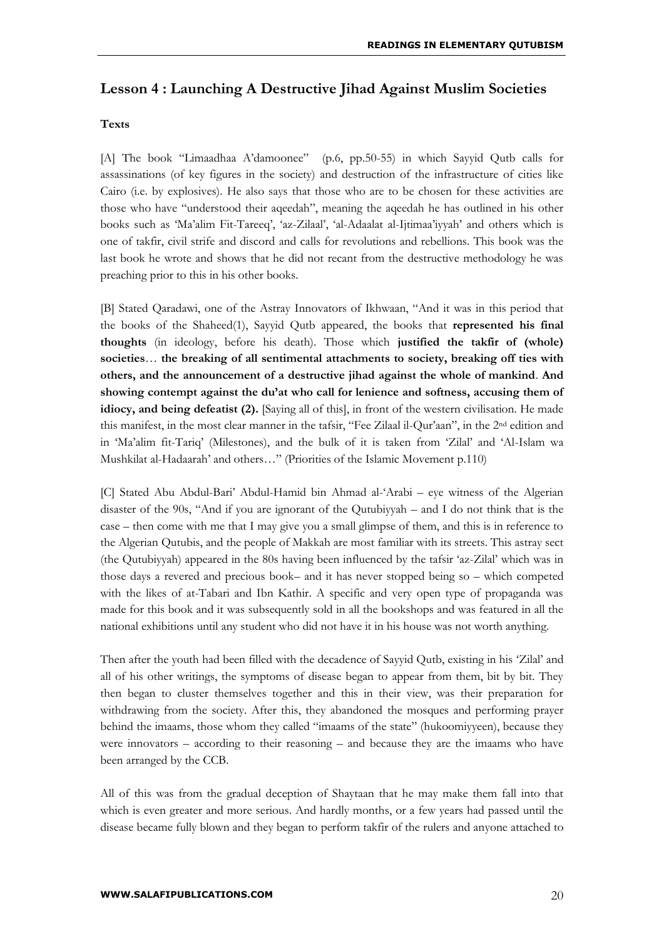# **Lesson 4 : Launching A Destructive Jihad Against Muslim Societies**

### **Texts**

[A] The book "Limaadhaa A'damoonee" (p.6, pp.50-55) in which Sayyid Qutb calls for assassinations (of key figures in the society) and destruction of the infrastructure of cities like Cairo (i.e. by explosives). He also says that those who are to be chosen for these activities are those who have "understood their aqeedah", meaning the aqeedah he has outlined in his other books such as 'Ma'alim Fit-Tareeq', 'az-Zilaal', 'al-Adaalat al-Ijtimaa'iyyah' and others which is one of takfir, civil strife and discord and calls for revolutions and rebellions. This book was the last book he wrote and shows that he did not recant from the destructive methodology he was preaching prior to this in his other books.

[B] Stated Qaradawi, one of the Astray Innovators of Ikhwaan, "And it was in this period that the books of the Shaheed(1), Sayyid Qutb appeared, the books that **represented his final thoughts** (in ideology, before his death). Those which **justified the takfir of (whole) societies**… **the breaking of all sentimental attachments to society, breaking off ties with others, and the announcement of a destructive jihad against the whole of mankind**. **And showing contempt against the du'at who call for lenience and softness, accusing them of idiocy, and being defeatist (2).** [Saying all of this], in front of the western civilisation. He made this manifest, in the most clear manner in the tafsir, "Fee Zilaal il-Qur'aan", in the 2nd edition and in 'Ma'alim fit-Tariq' (Milestones), and the bulk of it is taken from 'Zilal' and 'Al-Islam wa Mushkilat al-Hadaarah' and others…" (Priorities of the Islamic Movement p.110)

[C] Stated Abu Abdul-Bari' Abdul-Hamid bin Ahmad al-'Arabi – eye witness of the Algerian disaster of the 90s, "And if you are ignorant of the Qutubiyyah – and I do not think that is the case – then come with me that I may give you a small glimpse of them, and this is in reference to the Algerian Qutubis, and the people of Makkah are most familiar with its streets. This astray sect (the Qutubiyyah) appeared in the 80s having been influenced by the tafsir 'az-Zilal' which was in those days a revered and precious book– and it has never stopped being so – which competed with the likes of at-Tabari and Ibn Kathir. A specific and very open type of propaganda was made for this book and it was subsequently sold in all the bookshops and was featured in all the national exhibitions until any student who did not have it in his house was not worth anything.

Then after the youth had been filled with the decadence of Sayyid Qutb, existing in his 'Zilal' and all of his other writings, the symptoms of disease began to appear from them, bit by bit. They then began to cluster themselves together and this in their view, was their preparation for withdrawing from the society. After this, they abandoned the mosques and performing prayer behind the imaams, those whom they called "imaams of the state" (hukoomiyyeen), because they were innovators – according to their reasoning – and because they are the imaams who have been arranged by the CCB.

All of this was from the gradual deception of Shaytaan that he may make them fall into that which is even greater and more serious. And hardly months, or a few years had passed until the disease became fully blown and they began to perform takfir of the rulers and anyone attached to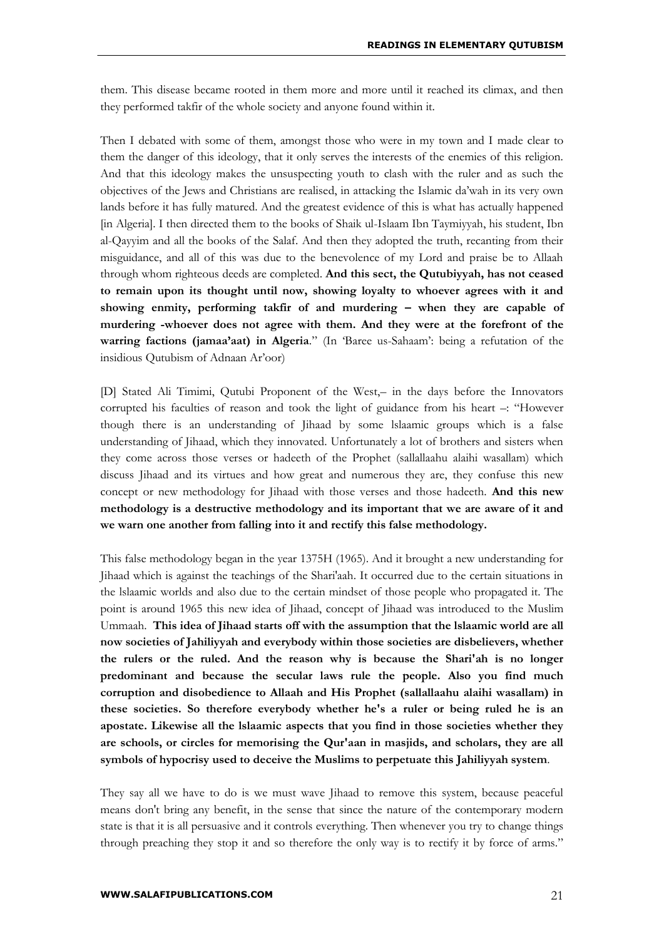them. This disease became rooted in them more and more until it reached its climax, and then they performed takfir of the whole society and anyone found within it.

Then I debated with some of them, amongst those who were in my town and I made clear to them the danger of this ideology, that it only serves the interests of the enemies of this religion. And that this ideology makes the unsuspecting youth to clash with the ruler and as such the objectives of the Jews and Christians are realised, in attacking the Islamic da'wah in its very own lands before it has fully matured. And the greatest evidence of this is what has actually happened [in Algeria]. I then directed them to the books of Shaik ul-Islaam Ibn Taymiyyah, his student, Ibn al-Qayyim and all the books of the Salaf. And then they adopted the truth, recanting from their misguidance, and all of this was due to the benevolence of my Lord and praise be to Allaah through whom righteous deeds are completed. **And this sect, the Qutubiyyah, has not ceased to remain upon its thought until now, showing loyalty to whoever agrees with it and showing enmity, performing takfir of and murdering – when they are capable of murdering -whoever does not agree with them. And they were at the forefront of the warring factions (jamaa'aat) in Algeria**." (In 'Baree us-Sahaam': being a refutation of the insidious Qutubism of Adnaan Ar'oor)

[D] Stated Ali Timimi, Qutubi Proponent of the West,– in the days before the Innovators corrupted his faculties of reason and took the light of guidance from his heart –: "However though there is an understanding of Jihaad by some lslaamic groups which is a false understanding of Jihaad, which they innovated. Unfortunately a lot of brothers and sisters when they come across those verses or hadeeth of the Prophet (sallallaahu alaihi wasallam) which discuss Jihaad and its virtues and how great and numerous they are, they confuse this new concept or new methodology for Jihaad with those verses and those hadeeth. **And this new methodology is a destructive methodology and its important that we are aware of it and we warn one another from falling into it and rectify this false methodology.**

This false methodology began in the year 1375H (1965). And it brought a new understanding for Jihaad which is against the teachings of the Shari'aah. It occurred due to the certain situations in the lslaamic worlds and also due to the certain mindset of those people who propagated it. The point is around 1965 this new idea of Jihaad, concept of Jihaad was introduced to the Muslim Ummaah. **This idea of Jihaad starts off with the assumption that the lslaamic world are all now societies of Jahiliyyah and everybody within those societies are disbelievers, whether the rulers or the ruled. And the reason why is because the Shari'ah is no longer predominant and because the secular laws rule the people. Also you find much corruption and disobedience to Allaah and His Prophet (sallallaahu alaihi wasallam) in these societies. So therefore everybody whether he's a ruler or being ruled he is an apostate. Likewise all the lslaamic aspects that you find in those societies whether they are schools, or circles for memorising the Qur'aan in masjids, and scholars, they are all symbols of hypocrisy used to deceive the Muslims to perpetuate this Jahiliyyah system**.

They say all we have to do is we must wave Jihaad to remove this system, because peaceful means don't bring any benefit, in the sense that since the nature of the contemporary modern state is that it is all persuasive and it controls everything. Then whenever you try to change things through preaching they stop it and so therefore the only way is to rectify it by force of arms."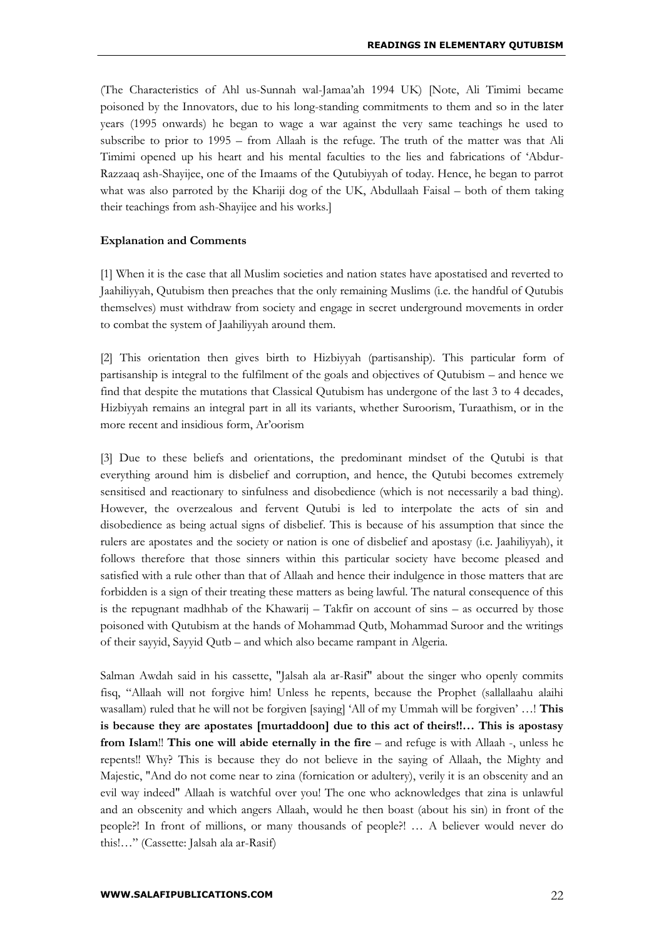(The Characteristics of Ahl us-Sunnah wal-Jamaa'ah 1994 UK) [Note, Ali Timimi became poisoned by the Innovators, due to his long-standing commitments to them and so in the later years (1995 onwards) he began to wage a war against the very same teachings he used to subscribe to prior to 1995 – from Allaah is the refuge. The truth of the matter was that Ali Timimi opened up his heart and his mental faculties to the lies and fabrications of 'Abdur-Razzaaq ash-Shayijee, one of the Imaams of the Qutubiyyah of today. Hence, he began to parrot what was also parroted by the Khariji dog of the UK, Abdullaah Faisal – both of them taking their teachings from ash-Shayijee and his works.]

### **Explanation and Comments**

[1] When it is the case that all Muslim societies and nation states have apostatised and reverted to Jaahiliyyah, Qutubism then preaches that the only remaining Muslims (i.e. the handful of Qutubis themselves) must withdraw from society and engage in secret underground movements in order to combat the system of Jaahiliyyah around them.

[2] This orientation then gives birth to Hizbiyyah (partisanship). This particular form of partisanship is integral to the fulfilment of the goals and objectives of Qutubism – and hence we find that despite the mutations that Classical Qutubism has undergone of the last 3 to 4 decades, Hizbiyyah remains an integral part in all its variants, whether Suroorism, Turaathism, or in the more recent and insidious form, Ar'oorism

[3] Due to these beliefs and orientations, the predominant mindset of the Qutubi is that everything around him is disbelief and corruption, and hence, the Qutubi becomes extremely sensitised and reactionary to sinfulness and disobedience (which is not necessarily a bad thing). However, the overzealous and fervent Qutubi is led to interpolate the acts of sin and disobedience as being actual signs of disbelief. This is because of his assumption that since the rulers are apostates and the society or nation is one of disbelief and apostasy (i.e. Jaahiliyyah), it follows therefore that those sinners within this particular society have become pleased and satisfied with a rule other than that of Allaah and hence their indulgence in those matters that are forbidden is a sign of their treating these matters as being lawful. The natural consequence of this is the repugnant madhhab of the Khawarij – Takfir on account of sins – as occurred by those poisoned with Qutubism at the hands of Mohammad Qutb, Mohammad Suroor and the writings of their sayyid, Sayyid Qutb – and which also became rampant in Algeria.

Salman Awdah said in his cassette, "Jalsah ala ar-Rasif" about the singer who openly commits fisq, "Allaah will not forgive him! Unless he repents, because the Prophet (sallallaahu alaihi wasallam) ruled that he will not be forgiven [saying] 'All of my Ummah will be forgiven' …! **This is because they are apostates [murtaddoon] due to this act of theirs!!… This is apostasy from Islam**!! **This one will abide eternally in the fire** – and refuge is with Allaah -, unless he repents!! Why? This is because they do not believe in the saying of Allaah, the Mighty and Majestic, "And do not come near to zina (fornication or adultery), verily it is an obscenity and an evil way indeed" Allaah is watchful over you! The one who acknowledges that zina is unlawful and an obscenity and which angers Allaah, would he then boast (about his sin) in front of the people?! In front of millions, or many thousands of people?! … A believer would never do this!…" (Cassette: Jalsah ala ar-Rasif)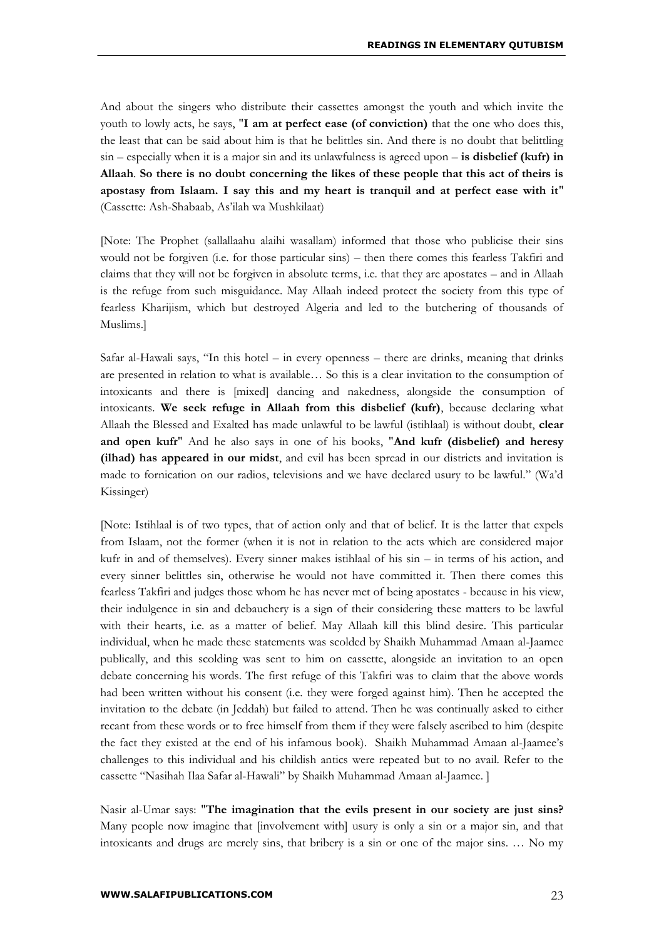And about the singers who distribute their cassettes amongst the youth and which invite the youth to lowly acts, he says, "**I am at perfect ease (of conviction)** that the one who does this, the least that can be said about him is that he belittles sin. And there is no doubt that belittling sin – especially when it is a major sin and its unlawfulness is agreed upon – **is disbelief (kufr) in Allaah**. **So there is no doubt concerning the likes of these people that this act of theirs is apostasy from Islaam. I say this and my heart is tranquil and at perfect ease with it**" (Cassette: Ash-Shabaab, As'ilah wa Mushkilaat)

[Note: The Prophet (sallallaahu alaihi wasallam) informed that those who publicise their sins would not be forgiven (i.e. for those particular sins) – then there comes this fearless Takfiri and claims that they will not be forgiven in absolute terms, i.e. that they are apostates – and in Allaah is the refuge from such misguidance. May Allaah indeed protect the society from this type of fearless Kharijism, which but destroyed Algeria and led to the butchering of thousands of Muslims.]

Safar al-Hawali says, "In this hotel – in every openness – there are drinks, meaning that drinks are presented in relation to what is available… So this is a clear invitation to the consumption of intoxicants and there is [mixed] dancing and nakedness, alongside the consumption of intoxicants. **We seek refuge in Allaah from this disbelief (kufr)**, because declaring what Allaah the Blessed and Exalted has made unlawful to be lawful (istihlaal) is without doubt, **clear and open kufr**" And he also says in one of his books, "**And kufr (disbelief) and heresy (ilhad) has appeared in our midst**, and evil has been spread in our districts and invitation is made to fornication on our radios, televisions and we have declared usury to be lawful." (Wa'd Kissinger)

[Note: Istihlaal is of two types, that of action only and that of belief. It is the latter that expels from Islaam, not the former (when it is not in relation to the acts which are considered major kufr in and of themselves). Every sinner makes istihlaal of his sin – in terms of his action, and every sinner belittles sin, otherwise he would not have committed it. Then there comes this fearless Takfiri and judges those whom he has never met of being apostates - because in his view, their indulgence in sin and debauchery is a sign of their considering these matters to be lawful with their hearts, i.e. as a matter of belief. May Allaah kill this blind desire. This particular individual, when he made these statements was scolded by Shaikh Muhammad Amaan al-Jaamee publically, and this scolding was sent to him on cassette, alongside an invitation to an open debate concerning his words. The first refuge of this Takfiri was to claim that the above words had been written without his consent (i.e. they were forged against him). Then he accepted the invitation to the debate (in Jeddah) but failed to attend. Then he was continually asked to either recant from these words or to free himself from them if they were falsely ascribed to him (despite the fact they existed at the end of his infamous book). Shaikh Muhammad Amaan al-Jaamee's challenges to this individual and his childish antics were repeated but to no avail. Refer to the cassette "Nasihah Ilaa Safar al-Hawali" by Shaikh Muhammad Amaan al-Jaamee. ]

Nasir al-Umar says: "**The imagination that the evils present in our society are just sins?** Many people now imagine that [involvement with] usury is only a sin or a major sin, and that intoxicants and drugs are merely sins, that bribery is a sin or one of the major sins. … No my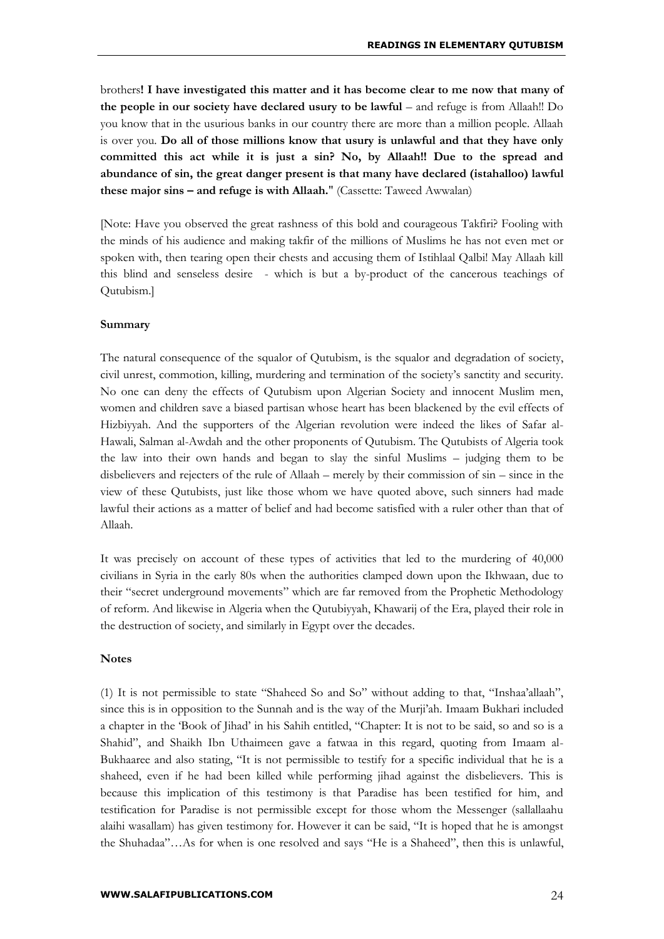brothers**! I have investigated this matter and it has become clear to me now that many of the people in our society have declared usury to be lawful** – and refuge is from Allaah!! Do you know that in the usurious banks in our country there are more than a million people. Allaah is over you. **Do all of those millions know that usury is unlawful and that they have only committed this act while it is just a sin? No, by Allaah!! Due to the spread and abundance of sin, the great danger present is that many have declared (istahalloo) lawful these major sins – and refuge is with Allaah.**" (Cassette: Taweed Awwalan)

[Note: Have you observed the great rashness of this bold and courageous Takfiri? Fooling with the minds of his audience and making takfir of the millions of Muslims he has not even met or spoken with, then tearing open their chests and accusing them of Istihlaal Qalbi! May Allaah kill this blind and senseless desire - which is but a by-product of the cancerous teachings of Qutubism.]

### **Summary**

The natural consequence of the squalor of Qutubism, is the squalor and degradation of society, civil unrest, commotion, killing, murdering and termination of the society's sanctity and security. No one can deny the effects of Qutubism upon Algerian Society and innocent Muslim men, women and children save a biased partisan whose heart has been blackened by the evil effects of Hizbiyyah. And the supporters of the Algerian revolution were indeed the likes of Safar al-Hawali, Salman al-Awdah and the other proponents of Qutubism. The Qutubists of Algeria took the law into their own hands and began to slay the sinful Muslims – judging them to be disbelievers and rejecters of the rule of Allaah – merely by their commission of sin – since in the view of these Qutubists, just like those whom we have quoted above, such sinners had made lawful their actions as a matter of belief and had become satisfied with a ruler other than that of Allaah.

It was precisely on account of these types of activities that led to the murdering of 40,000 civilians in Syria in the early 80s when the authorities clamped down upon the Ikhwaan, due to their "secret underground movements" which are far removed from the Prophetic Methodology of reform. And likewise in Algeria when the Qutubiyyah, Khawarij of the Era, played their role in the destruction of society, and similarly in Egypt over the decades.

### **Notes**

(1) It is not permissible to state "Shaheed So and So" without adding to that, "Inshaa'allaah", since this is in opposition to the Sunnah and is the way of the Murji'ah. Imaam Bukhari included a chapter in the 'Book of Jihad' in his Sahih entitled, "Chapter: It is not to be said, so and so is a Shahid", and Shaikh Ibn Uthaimeen gave a fatwaa in this regard, quoting from Imaam al-Bukhaaree and also stating, "It is not permissible to testify for a specific individual that he is a shaheed, even if he had been killed while performing jihad against the disbelievers. This is because this implication of this testimony is that Paradise has been testified for him, and testification for Paradise is not permissible except for those whom the Messenger (sallallaahu alaihi wasallam) has given testimony for. However it can be said, "It is hoped that he is amongst the Shuhadaa"…As for when is one resolved and says "He is a Shaheed", then this is unlawful,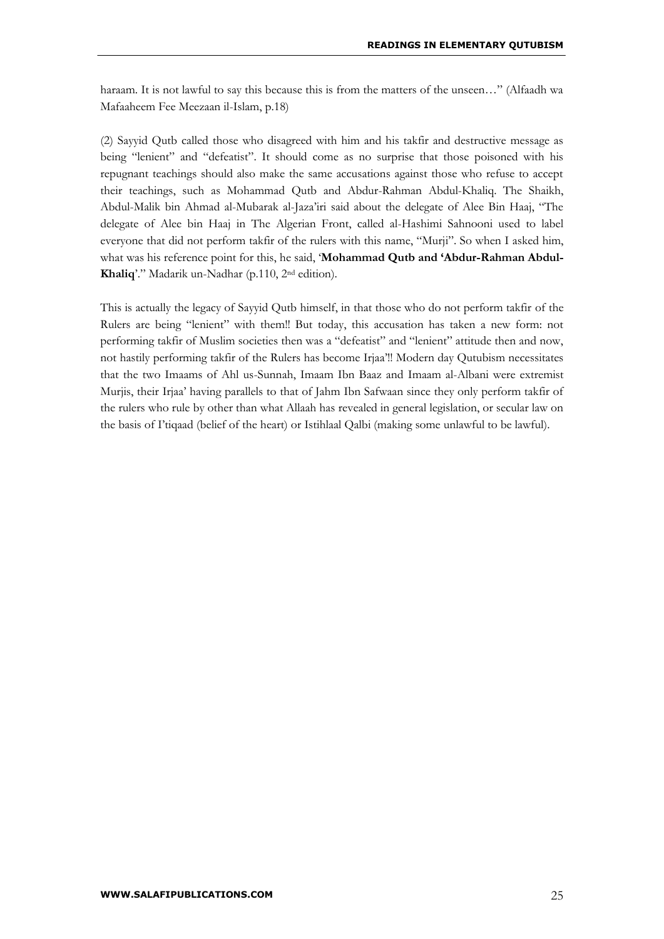haraam. It is not lawful to say this because this is from the matters of the unseen…" (Alfaadh wa Mafaaheem Fee Meezaan il-Islam, p.18)

(2) Sayyid Qutb called those who disagreed with him and his takfir and destructive message as being "lenient" and "defeatist". It should come as no surprise that those poisoned with his repugnant teachings should also make the same accusations against those who refuse to accept their teachings, such as Mohammad Qutb and Abdur-Rahman Abdul-Khaliq. The Shaikh, Abdul-Malik bin Ahmad al-Mubarak al-Jaza'iri said about the delegate of Alee Bin Haaj, "The delegate of Alee bin Haaj in The Algerian Front, called al-Hashimi Sahnooni used to label everyone that did not perform takfir of the rulers with this name, "Murji". So when I asked him, what was his reference point for this, he said, '**Mohammad Qutb and 'Abdur-Rahman Abdul-Khaliq**'." Madarik un-Nadhar (p.110, 2nd edition).

This is actually the legacy of Sayyid Qutb himself, in that those who do not perform takfir of the Rulers are being "lenient" with them!! But today, this accusation has taken a new form: not performing takfir of Muslim societies then was a "defeatist" and "lenient" attitude then and now, not hastily performing takfir of the Rulers has become Irjaa'!! Modern day Qutubism necessitates that the two Imaams of Ahl us-Sunnah, Imaam Ibn Baaz and Imaam al-Albani were extremist Murjis, their Irjaa' having parallels to that of Jahm Ibn Safwaan since they only perform takfir of the rulers who rule by other than what Allaah has revealed in general legislation, or secular law on the basis of I'tiqaad (belief of the heart) or Istihlaal Qalbi (making some unlawful to be lawful).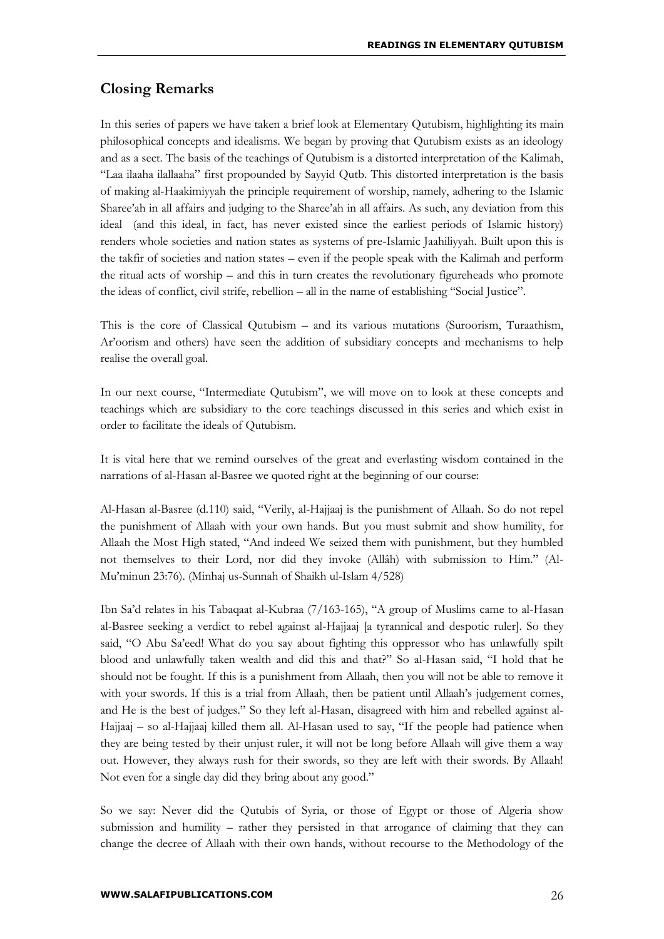# **Closing Remarks**

In this series of papers we have taken a brief look at Elementary Qutubism, highlighting its main philosophical concepts and idealisms. We began by proving that Qutubism exists as an ideology and as a sect. The basis of the teachings of Qutubism is a distorted interpretation of the Kalimah, "Laa ilaaha ilallaaha" first propounded by Sayyid Qutb. This distorted interpretation is the basis of making al-Haakimiyyah the principle requirement of worship, namely, adhering to the Islamic Sharee'ah in all affairs and judging to the Sharee'ah in all affairs. As such, any deviation from this ideal (and this ideal, in fact, has never existed since the earliest periods of Islamic history) renders whole societies and nation states as systems of pre-Islamic Jaahiliyyah. Built upon this is the takfir of societies and nation states – even if the people speak with the Kalimah and perform the ritual acts of worship – and this in turn creates the revolutionary figureheads who promote the ideas of conflict, civil strife, rebellion – all in the name of establishing "Social Justice".

This is the core of Classical Qutubism – and its various mutations (Suroorism, Turaathism, Ar'oorism and others) have seen the addition of subsidiary concepts and mechanisms to help realise the overall goal.

In our next course, "Intermediate Qutubism", we will move on to look at these concepts and teachings which are subsidiary to the core teachings discussed in this series and which exist in order to facilitate the ideals of Qutubism.

It is vital here that we remind ourselves of the great and everlasting wisdom contained in the narrations of al-Hasan al-Basree we quoted right at the beginning of our course:

Al-Hasan al-Basree (d.110) said, "Verily, al-Hajjaaj is the punishment of Allaah. So do not repel the punishment of Allaah with your own hands. But you must submit and show humility, for Allaah the Most High stated, "And indeed We seized them with punishment, but they humbled not themselves to their Lord, nor did they invoke (Allâh) with submission to Him." (Al-Mu'minun 23:76). (Minhaj us-Sunnah of Shaikh ul-Islam 4/528)

Ibn Sa'd relates in his Tabaqaat al-Kubraa (7/163-165), "A group of Muslims came to al-Hasan al-Basree seeking a verdict to rebel against al-Hajjaaj [a tyrannical and despotic ruler]. So they said, "O Abu Sa'eed! What do you say about fighting this oppressor who has unlawfully spilt blood and unlawfully taken wealth and did this and that?" So al-Hasan said, "I hold that he should not be fought. If this is a punishment from Allaah, then you will not be able to remove it with your swords. If this is a trial from Allaah, then be patient until Allaah's judgement comes, and He is the best of judges." So they left al-Hasan, disagreed with him and rebelled against al-Hajjaaj – so al-Hajjaaj killed them all. Al-Hasan used to say, "If the people had patience when they are being tested by their unjust ruler, it will not be long before Allaah will give them a way out. However, they always rush for their swords, so they are left with their swords. By Allaah! Not even for a single day did they bring about any good."

So we say: Never did the Qutubis of Syria, or those of Egypt or those of Algeria show submission and humility – rather they persisted in that arrogance of claiming that they can change the decree of Allaah with their own hands, without recourse to the Methodology of the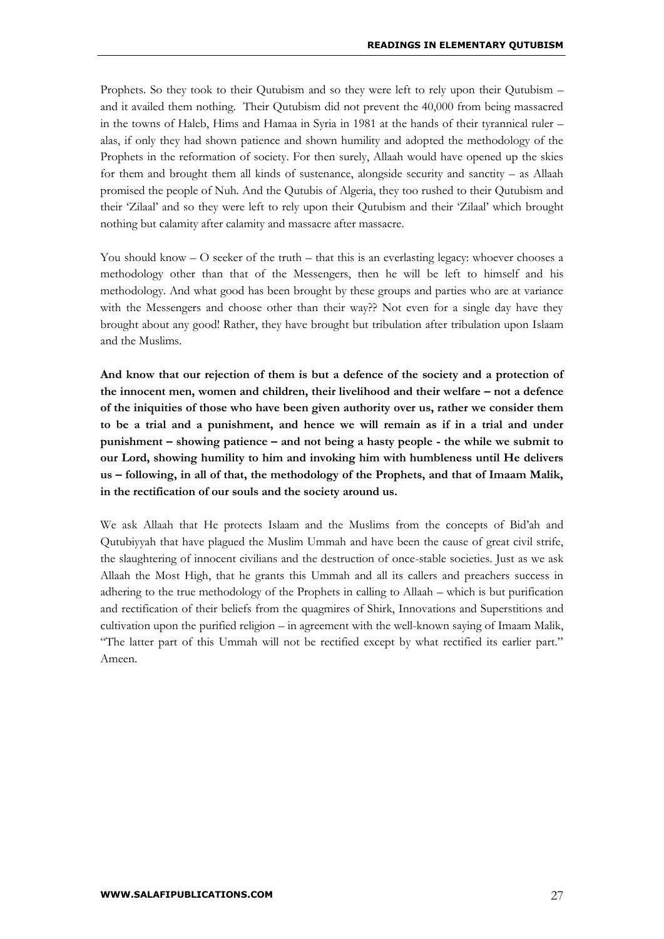Prophets. So they took to their Qutubism and so they were left to rely upon their Qutubism – and it availed them nothing. Their Qutubism did not prevent the 40,000 from being massacred in the towns of Haleb, Hims and Hamaa in Syria in 1981 at the hands of their tyrannical ruler – alas, if only they had shown patience and shown humility and adopted the methodology of the Prophets in the reformation of society. For then surely, Allaah would have opened up the skies for them and brought them all kinds of sustenance, alongside security and sanctity  $-$  as Allaah promised the people of Nuh. And the Qutubis of Algeria, they too rushed to their Qutubism and their 'Zilaal' and so they were left to rely upon their Qutubism and their 'Zilaal' which brought nothing but calamity after calamity and massacre after massacre.

You should know – O seeker of the truth – that this is an everlasting legacy: whoever chooses a methodology other than that of the Messengers, then he will be left to himself and his methodology. And what good has been brought by these groups and parties who are at variance with the Messengers and choose other than their way?? Not even for a single day have they brought about any good! Rather, they have brought but tribulation after tribulation upon Islaam and the Muslims.

**And know that our rejection of them is but a defence of the society and a protection of the innocent men, women and children, their livelihood and their welfare – not a defence of the iniquities of those who have been given authority over us, rather we consider them to be a trial and a punishment, and hence we will remain as if in a trial and under punishment – showing patience – and not being a hasty people - the while we submit to our Lord, showing humility to him and invoking him with humbleness until He delivers us – following, in all of that, the methodology of the Prophets, and that of Imaam Malik, in the rectification of our souls and the society around us.**

We ask Allaah that He protects Islaam and the Muslims from the concepts of Bid'ah and Qutubiyyah that have plagued the Muslim Ummah and have been the cause of great civil strife, the slaughtering of innocent civilians and the destruction of once-stable societies. Just as we ask Allaah the Most High, that he grants this Ummah and all its callers and preachers success in adhering to the true methodology of the Prophets in calling to Allaah – which is but purification and rectification of their beliefs from the quagmires of Shirk, Innovations and Superstitions and cultivation upon the purified religion – in agreement with the well-known saying of Imaam Malik, "The latter part of this Ummah will not be rectified except by what rectified its earlier part." Ameen.